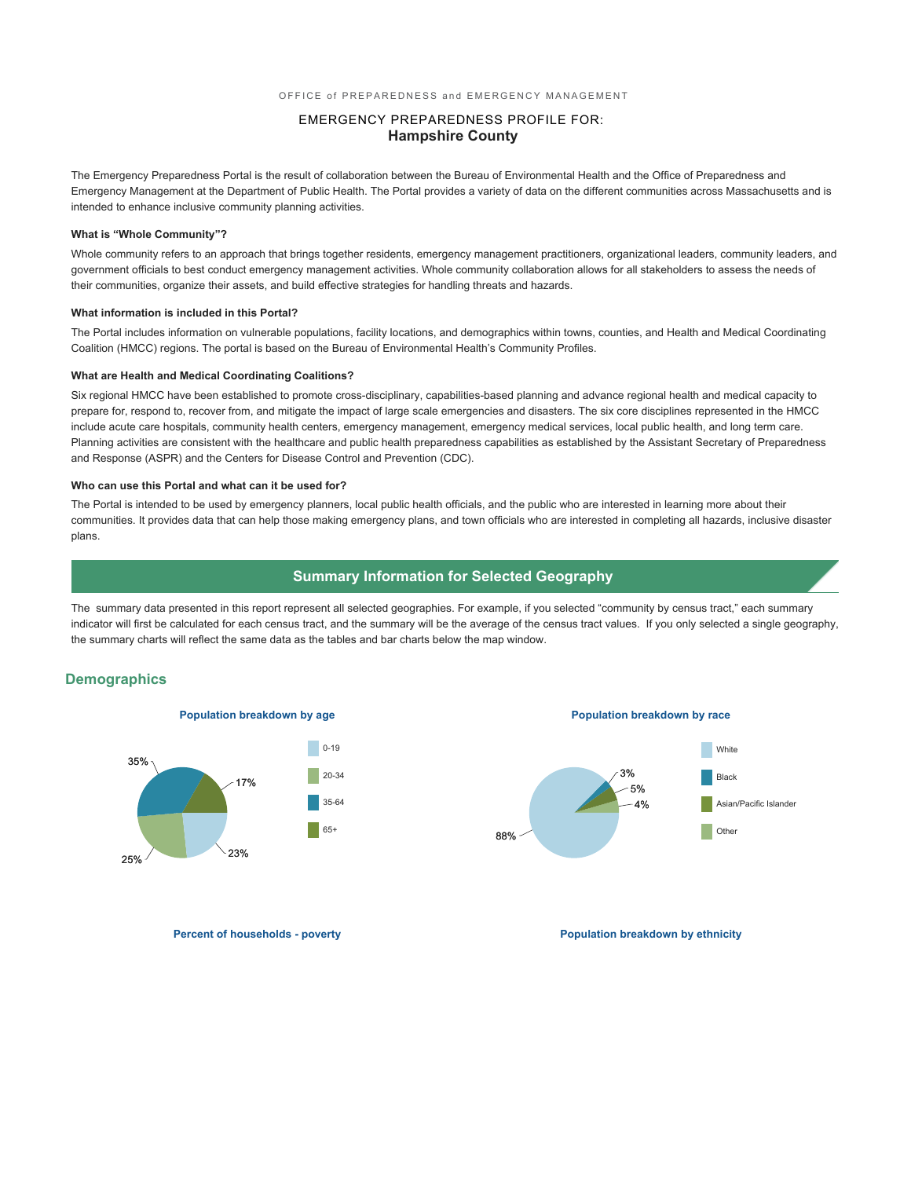#### EMERGENCY PREPAREDNESS PROFILE FOR: **Hampshire County**

The Emergency Preparedness Portal is the result of collaboration between the Bureau of Environmental Health and the Office of Preparedness and Emergency Management at the Department of Public Health. The Portal provides a variety of data on the different communities across Massachusetts and is intended to enhance inclusive community planning activities.

#### **What is "Whole Community"?**

Whole community refers to an approach that brings together residents, emergency management practitioners, organizational leaders, community leaders, and government officials to best conduct emergency management activities. Whole community collaboration allows for all stakeholders to assess the needs of their communities, organize their assets, and build effective strategies for handling threats and hazards.

#### **What information is included in this Portal?**

The Portal includes information on vulnerable populations, facility locations, and demographics within towns, counties, and Health and Medical Coordinating Coalition (HMCC) regions. The portal is based on the Bureau of Environmental Health's Community Profiles.

#### **What are Health and Medical Coordinating Coalitions?**

Six regional HMCC have been established to promote cross-disciplinary, capabilities-based planning and advance regional health and medical capacity to prepare for, respond to, recover from, and mitigate the impact of large scale emergencies and disasters. The six core disciplines represented in the HMCC include acute care hospitals, community health centers, emergency management, emergency medical services, local public health, and long term care. Planning activities are consistent with the healthcare and public health preparedness capabilities as established by the Assistant Secretary of Preparedness and Response (ASPR) and the Centers for Disease Control and Prevention (CDC).

#### **Who can use this Portal and what can it be used for?**

The Portal is intended to be used by emergency planners, local public health officials, and the public who are interested in learning more about their communities. It provides data that can help those making emergency plans, and town officials who are interested in completing all hazards, inclusive disaster plans.

#### **Summary Information for Selected Geography**

The summary data presented in this report represent all selected geographies. For example, if you selected "community by census tract," each summary indicator will first be calculated for each census tract, and the summary will be the average of the census tract values. If you only selected a single geography, the summary charts will reflect the same data as the tables and bar charts below the map window.

#### **Demographics**



**Population breakdown by age Population breakdown by race**



**Percent of households - poverty and the powerty of the population breakdown by ethnicity**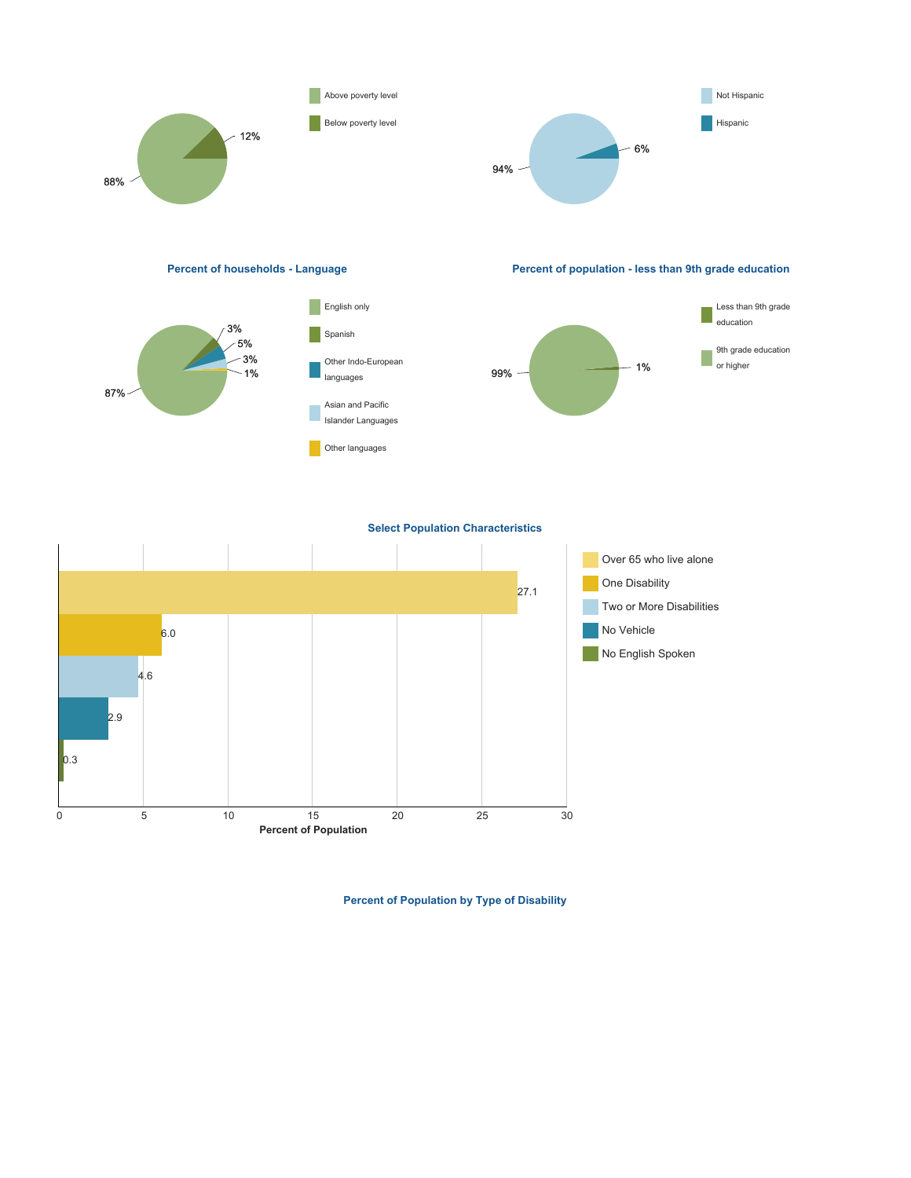

**Percent of Population by Type of Disability**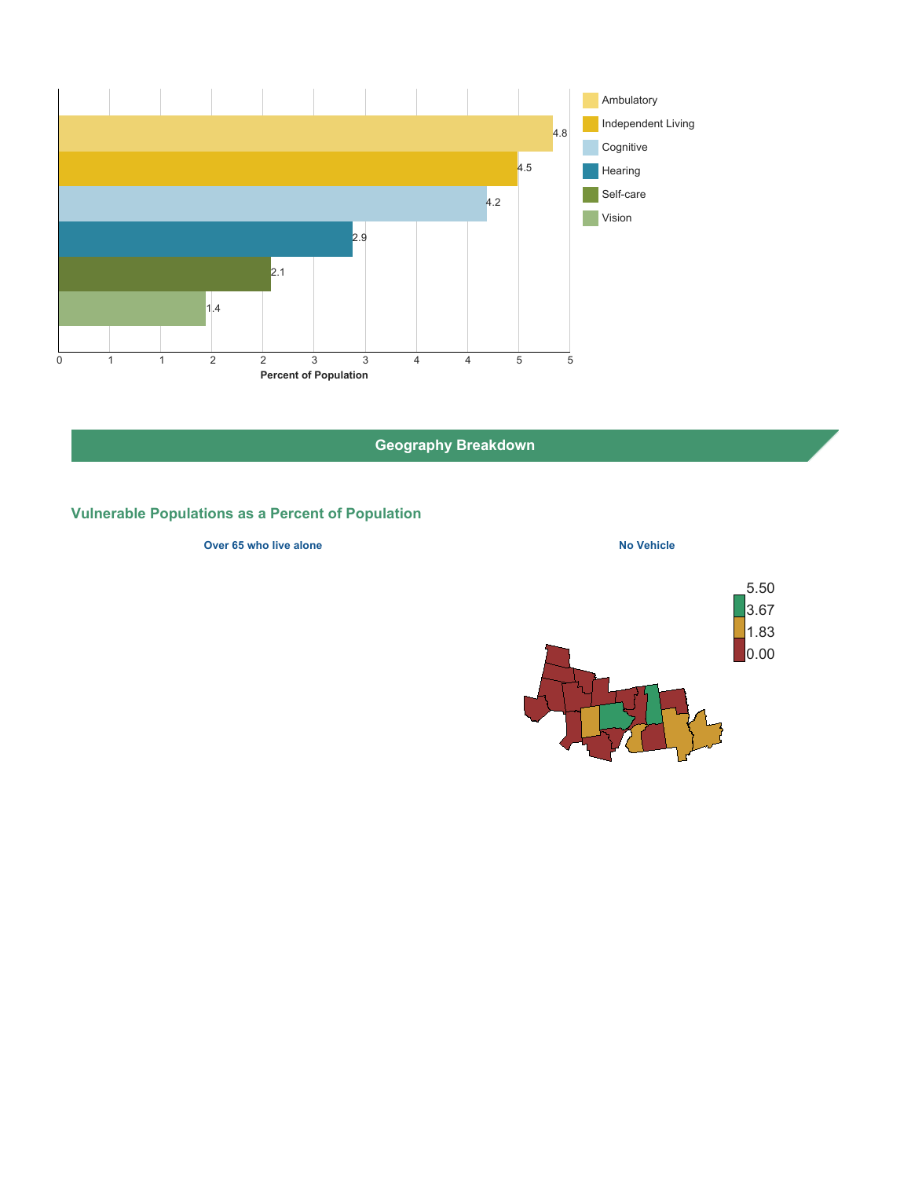

**Geography Breakdown**

# **Vulnerable Populations as a Percent of Population**

**Over 65 who live alone No Vehicle No Vehicle** 

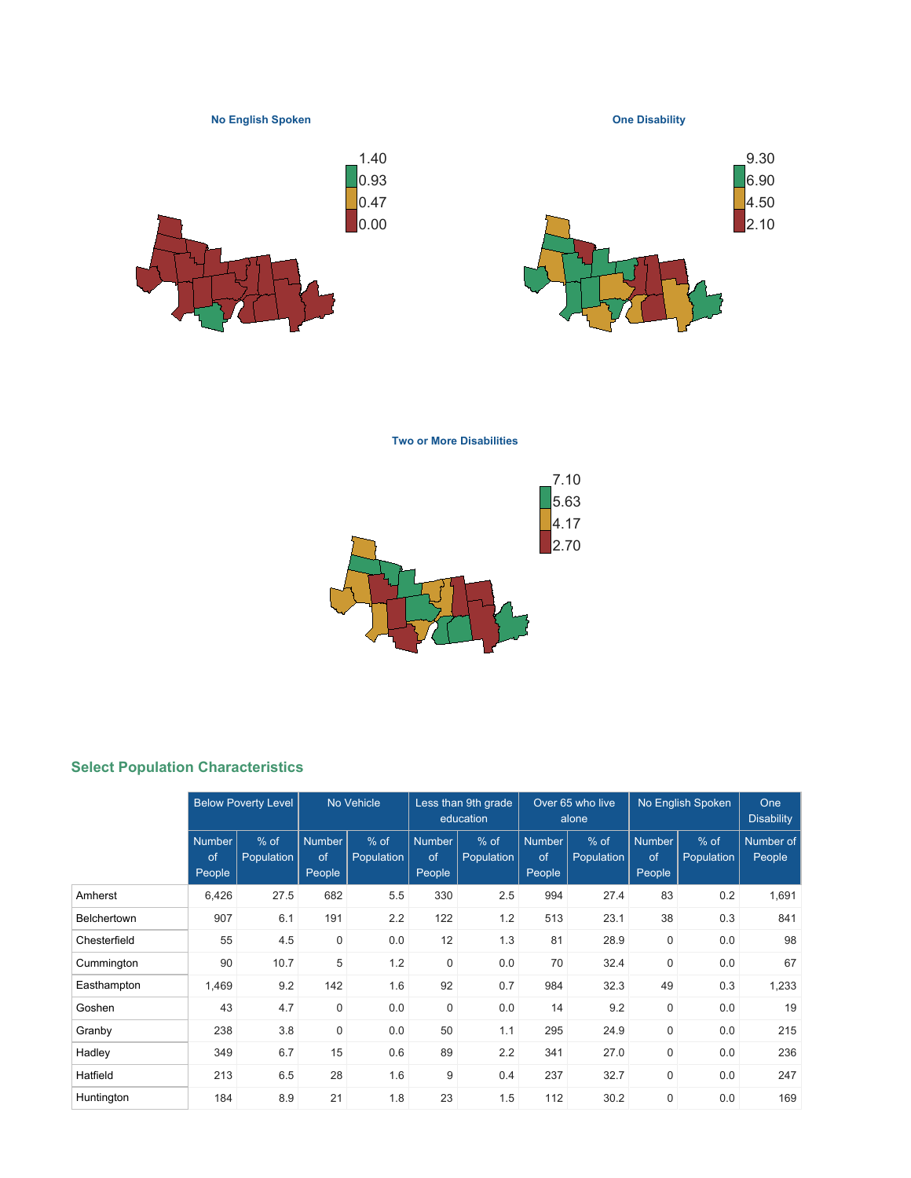**No English Spoken**

**One Disability**





**Two or More Disabilities**



# **Select Population Characteristics**

|                    |                               | <b>Below Poverty Level</b>  |                               | No Vehicle           |                               | Less than 9th grade<br>education |                               | Over 65 who live<br>alone |                               | No English Spoken    | <b>One</b><br><b>Disability</b> |
|--------------------|-------------------------------|-----------------------------|-------------------------------|----------------------|-------------------------------|----------------------------------|-------------------------------|---------------------------|-------------------------------|----------------------|---------------------------------|
|                    | <b>Number</b><br>of<br>People | $%$ of<br><b>Population</b> | <b>Number</b><br>of<br>People | $%$ of<br>Population | <b>Number</b><br>of<br>People | $%$ of<br>Population             | <b>Number</b><br>of<br>People | $%$ of<br>Population      | <b>Number</b><br>of<br>People | $%$ of<br>Population | Number of<br>People             |
| Amherst            | 6,426                         | 27.5                        | 682                           | 5.5                  | 330                           | 2.5                              | 994                           | 27.4                      | 83                            | 0.2                  | 1,691                           |
| <b>Belchertown</b> | 907                           | 6.1                         | 191                           | 2.2                  | 122                           | 1.2                              | 513                           | 23.1                      | 38                            | 0.3                  | 841                             |
| Chesterfield       | 55                            | 4.5                         | $\mathbf 0$                   | 0.0                  | 12                            | 1.3                              | 81                            | 28.9                      | $\mathbf 0$                   | 0.0                  | 98                              |
| Cummington         | 90                            | 10.7                        | 5                             | 1.2                  | $\mathbf 0$                   | 0.0                              | 70                            | 32.4                      | 0                             | 0.0                  | 67                              |
| Easthampton        | 1,469                         | 9.2                         | 142                           | 1.6                  | 92                            | 0.7                              | 984                           | 32.3                      | 49                            | 0.3                  | 1,233                           |
| Goshen             | 43                            | 4.7                         | $\mathbf 0$                   | 0.0                  | $\mathbf 0$                   | 0.0                              | 14                            | 9.2                       | $\mathbf 0$                   | 0.0                  | 19                              |
| Granby             | 238                           | 3.8                         | $\mathbf 0$                   | 0.0                  | 50                            | 1.1                              | 295                           | 24.9                      | $\mathbf 0$                   | 0.0                  | 215                             |
| Hadley             | 349                           | 6.7                         | 15                            | 0.6                  | 89                            | 2.2                              | 341                           | 27.0                      | $\mathbf 0$                   | 0.0                  | 236                             |
| Hatfield           | 213                           | 6.5                         | 28                            | 1.6                  | 9                             | 0.4                              | 237                           | 32.7                      | $\mathbf 0$                   | 0.0                  | 247                             |
| Huntington         | 184                           | 8.9                         | 21                            | 1.8                  | 23                            | 1.5                              | 112                           | 30.2                      | $\mathbf 0$                   | 0.0                  | 169                             |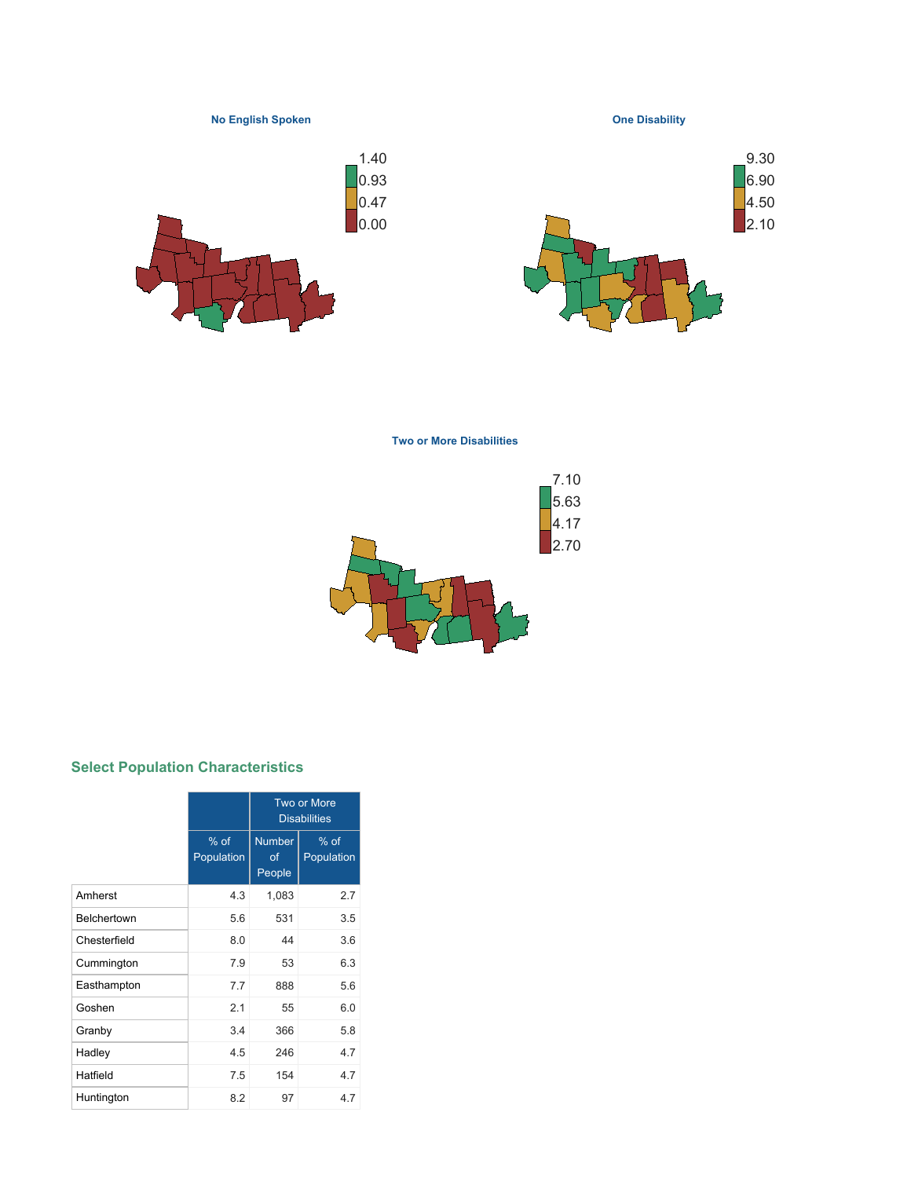**No English Spoken**

**One Disability**





**Two or More Disabilities**



# **Select Population Characteristics**

|                    |                      | Two or More<br><b>Disabilities</b> |                      |  |  |  |
|--------------------|----------------------|------------------------------------|----------------------|--|--|--|
|                    | $%$ of<br>Population | <b>Number</b><br>of<br>People      | $%$ of<br>Population |  |  |  |
| Amherst            | 4.3                  | 1,083                              | 2.7                  |  |  |  |
| <b>Belchertown</b> | 5.6                  | 531                                | 3.5                  |  |  |  |
| Chesterfield       | 8.0                  | 44                                 | 3.6                  |  |  |  |
| Cummington         | 7.9                  | 53                                 | 6.3                  |  |  |  |
| Easthampton        | 7.7                  | 888                                | 5.6                  |  |  |  |
| Goshen             | 2.1                  | 55                                 | 6.0                  |  |  |  |
| Granby             | 3.4                  | 366                                | 5.8                  |  |  |  |
| Hadley             | 4.5                  | 246                                | 4.7                  |  |  |  |
| Hatfield           | 7.5                  | 154                                | 4.7                  |  |  |  |
| Huntington         | 8.2                  | 97                                 | 4.7                  |  |  |  |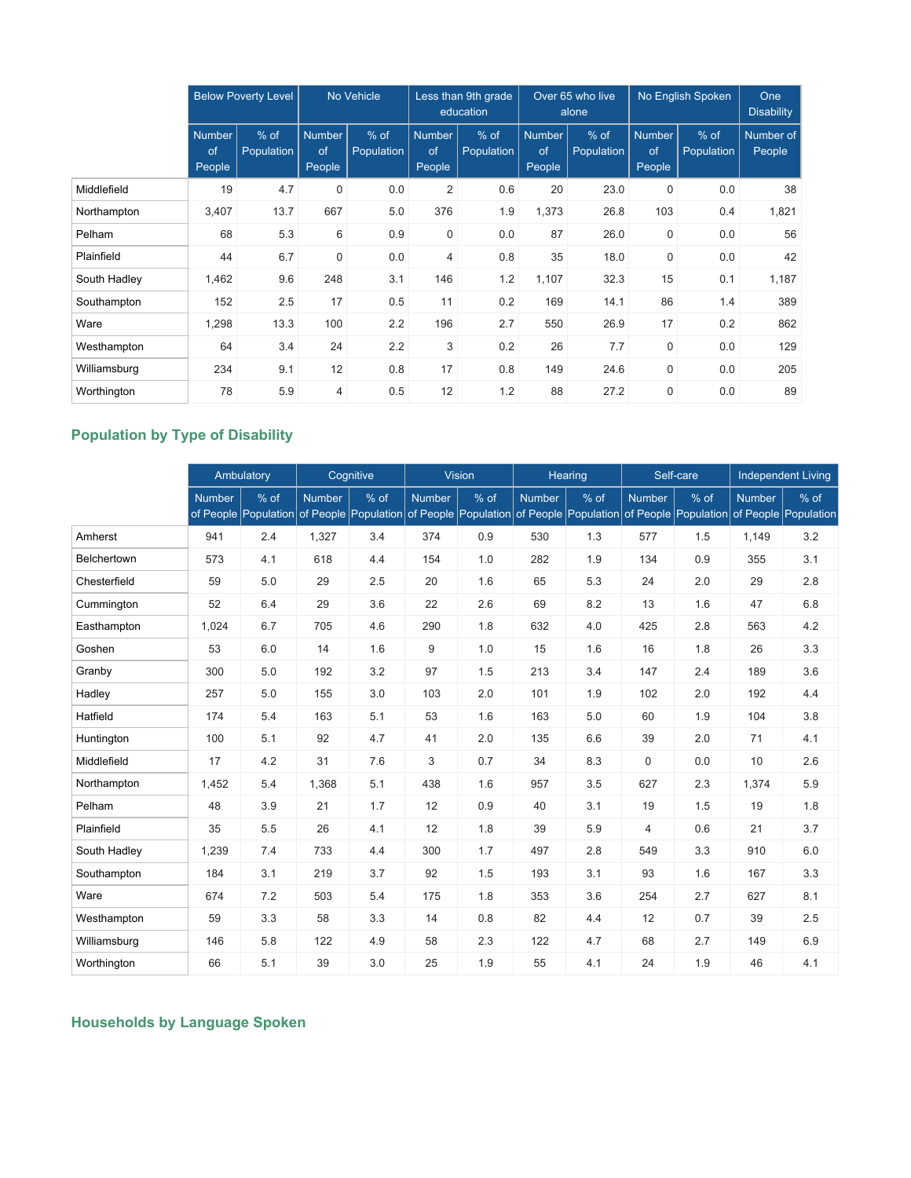|              | <b>Below Poverty Level</b>           |                      | No Vehicle                    |                      | Less than 9th grade<br>education |                      | Over 65 who live<br>No English Spoken<br>alone |                      |                               | One<br><b>Disability</b> |                     |
|--------------|--------------------------------------|----------------------|-------------------------------|----------------------|----------------------------------|----------------------|------------------------------------------------|----------------------|-------------------------------|--------------------------|---------------------|
|              | <b>Number</b><br>of<br><b>People</b> | $%$ of<br>Population | <b>Number</b><br>of<br>People | $%$ of<br>Population | <b>Number</b><br>of<br>People    | $%$ of<br>Population | Number<br>of<br>People                         | $%$ of<br>Population | <b>Number</b><br>of<br>People | $%$ of<br>Population     | Number of<br>People |
| Middlefield  | 19                                   | 4.7                  | 0                             | 0.0                  | 2                                | 0.6                  | 20                                             | 23.0                 | $\mathbf 0$                   | 0.0                      | 38                  |
| Northampton  | 3,407                                | 13.7                 | 667                           | 5.0                  | 376                              | 1.9                  | 1,373                                          | 26.8                 | 103                           | 0.4                      | 1,821               |
| Pelham       | 68                                   | 5.3                  | 6                             | 0.9                  | $\mathbf 0$                      | 0.0                  | 87                                             | 26.0                 | $\mathbf 0$                   | 0.0                      | 56                  |
| Plainfield   | 44                                   | 6.7                  | $\mathbf 0$                   | 0.0                  | $\overline{4}$                   | 0.8                  | 35                                             | 18.0                 | $\mathbf 0$                   | 0.0                      | 42                  |
| South Hadley | 1,462                                | 9.6                  | 248                           | 3.1                  | 146                              | 1.2                  | 1,107                                          | 32.3                 | 15                            | 0.1                      | 1,187               |
| Southampton  | 152                                  | 2.5                  | 17                            | 0.5                  | 11                               | 0.2                  | 169                                            | 14.1                 | 86                            | 1.4                      | 389                 |
| Ware         | 1,298                                | 13.3                 | 100                           | 2.2                  | 196                              | 2.7                  | 550                                            | 26.9                 | 17                            | 0.2                      | 862                 |
| Westhampton  | 64                                   | 3.4                  | 24                            | 2.2                  | 3                                | 0.2                  | 26                                             | 7.7                  | $\mathbf 0$                   | 0.0                      | 129                 |
| Williamsburg | 234                                  | 9.1                  | 12                            | 0.8                  | 17                               | 0.8                  | 149                                            | 24.6                 | $\mathbf 0$                   | 0.0                      | 205                 |
| Worthington  | 78                                   | 5.9                  | $\overline{4}$                | 0.5                  | 12                               | 1.2                  | 88                                             | 27.2                 | $\mathbf 0$                   | 0.0                      | 89                  |

# **Population by Type of Disability**

|              |               | Ambulatory                   | Cognitive     |      |               | <b>Vision</b>                                                          | Hearing       |      | Self-care     |                              | <b>Independent Living</b> |                                |
|--------------|---------------|------------------------------|---------------|------|---------------|------------------------------------------------------------------------|---------------|------|---------------|------------------------------|---------------------------|--------------------------------|
|              | <b>Number</b> | % of<br>of People Population | <b>Number</b> | % of | <b>Number</b> | % of<br>of People Population of People Population of People Population | <b>Number</b> | % of | <b>Number</b> | % of<br>of People Population | <b>Number</b>             | $%$ of<br>of People Population |
| Amherst      | 941           | 2.4                          | 1,327         | 3.4  | 374           | 0.9                                                                    | 530           | 1.3  | 577           | 1.5                          | 1,149                     | 3.2                            |
| Belchertown  | 573           | 4.1                          | 618           | 4.4  | 154           | 1.0                                                                    | 282           | 1.9  | 134           | 0.9                          | 355                       | 3.1                            |
| Chesterfield | 59            | 5.0                          | 29            | 2.5  | 20            | 1.6                                                                    | 65            | 5.3  | 24            | 2.0                          | 29                        | 2.8                            |
| Cummington   | 52            | 6.4                          | 29            | 3.6  | 22            | 2.6                                                                    | 69            | 8.2  | 13            | 1.6                          | 47                        | 6.8                            |
| Easthampton  | 1.024         | 6.7                          | 705           | 4.6  | 290           | 1.8                                                                    | 632           | 4.0  | 425           | 2.8                          | 563                       | 4.2                            |
| Goshen       | 53            | 6.0                          | 14            | 1.6  | 9             | 1.0                                                                    | 15            | 1.6  | 16            | 1.8                          | 26                        | 3.3                            |
| Granby       | 300           | 5.0                          | 192           | 3.2  | 97            | 1.5                                                                    | 213           | 3.4  | 147           | 2.4                          | 189                       | 3.6                            |
| Hadley       | 257           | 5.0                          | 155           | 3.0  | 103           | 2.0                                                                    | 101           | 1.9  | 102           | 2.0                          | 192                       | 4.4                            |
| Hatfield     | 174           | 5.4                          | 163           | 5.1  | 53            | 1.6                                                                    | 163           | 5.0  | 60            | 1.9                          | 104                       | 3.8                            |
| Huntington   | 100           | 5.1                          | 92            | 4.7  | 41            | 2.0                                                                    | 135           | 6.6  | 39            | 2.0                          | 71                        | 4.1                            |
| Middlefield  | 17            | 4.2                          | 31            | 7.6  | 3             | 0.7                                                                    | 34            | 8.3  | 0             | 0.0                          | 10                        | 2.6                            |
| Northampton  | 1,452         | 5.4                          | 1,368         | 5.1  | 438           | 1.6                                                                    | 957           | 3.5  | 627           | 2.3                          | 1,374                     | 5.9                            |
| Pelham       | 48            | 3.9                          | 21            | 1.7  | 12            | 0.9                                                                    | 40            | 3.1  | 19            | 1.5                          | 19                        | 1.8                            |
| Plainfield   | 35            | 5.5                          | 26            | 4.1  | 12            | 1.8                                                                    | 39            | 5.9  | 4             | 0.6                          | 21                        | 3.7                            |
| South Hadley | 1,239         | 7.4                          | 733           | 4.4  | 300           | 1.7                                                                    | 497           | 2.8  | 549           | 3.3                          | 910                       | 6.0                            |
| Southampton  | 184           | 3.1                          | 219           | 3.7  | 92            | 1.5                                                                    | 193           | 3.1  | 93            | 1.6                          | 167                       | 3.3                            |
| Ware         | 674           | 7.2                          | 503           | 5.4  | 175           | 1.8                                                                    | 353           | 3.6  | 254           | 2.7                          | 627                       | 8.1                            |
| Westhampton  | 59            | 3.3                          | 58            | 3.3  | 14            | 0.8                                                                    | 82            | 4.4  | 12            | 0.7                          | 39                        | 2.5                            |
| Williamsburg | 146           | 5.8                          | 122           | 4.9  | 58            | 2.3                                                                    | 122           | 4.7  | 68            | 2.7                          | 149                       | 6.9                            |
| Worthington  | 66            | 5.1                          | 39            | 3.0  | 25            | 1.9                                                                    | 55            | 4.1  | 24            | 1.9                          | 46                        | 4.1                            |

# **Households by Language Spoken**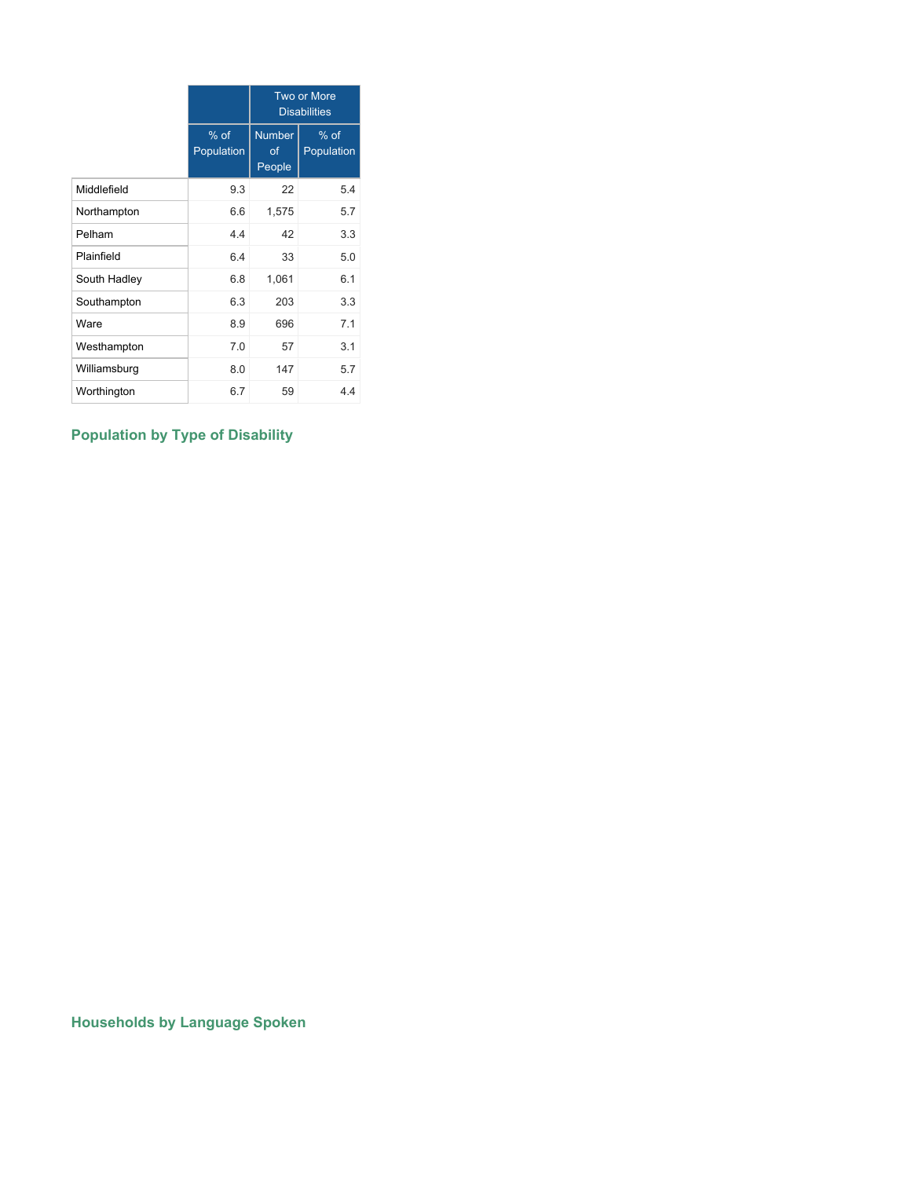|              |                      | <b>Two or More</b><br><b>Disabilities</b> |                      |  |  |  |
|--------------|----------------------|-------------------------------------------|----------------------|--|--|--|
|              | $%$ of<br>Population | <b>Number</b><br>of<br>People             | $%$ of<br>Population |  |  |  |
| Middlefield  | 9.3                  | 22                                        | 5.4                  |  |  |  |
| Northampton  | 6.6                  | 1,575                                     | 5.7                  |  |  |  |
| Pelham       | 4.4                  | 42                                        | 3.3                  |  |  |  |
| Plainfield   | 6.4                  | 33                                        | 5.0                  |  |  |  |
| South Hadley | 6.8                  | 1,061                                     | 6.1                  |  |  |  |
| Southampton  | 6.3                  | 203                                       | 3.3                  |  |  |  |
| Ware         | 8.9                  | 696                                       | 7.1                  |  |  |  |
| Westhampton  | 7.0                  | 57                                        | 3.1                  |  |  |  |
| Williamsburg | 8.0                  | 147                                       | 5.7                  |  |  |  |
| Worthington  | 6.7                  | 59                                        | 4.4                  |  |  |  |

# **Population by Type of Disability**

**Households by Language Spoken**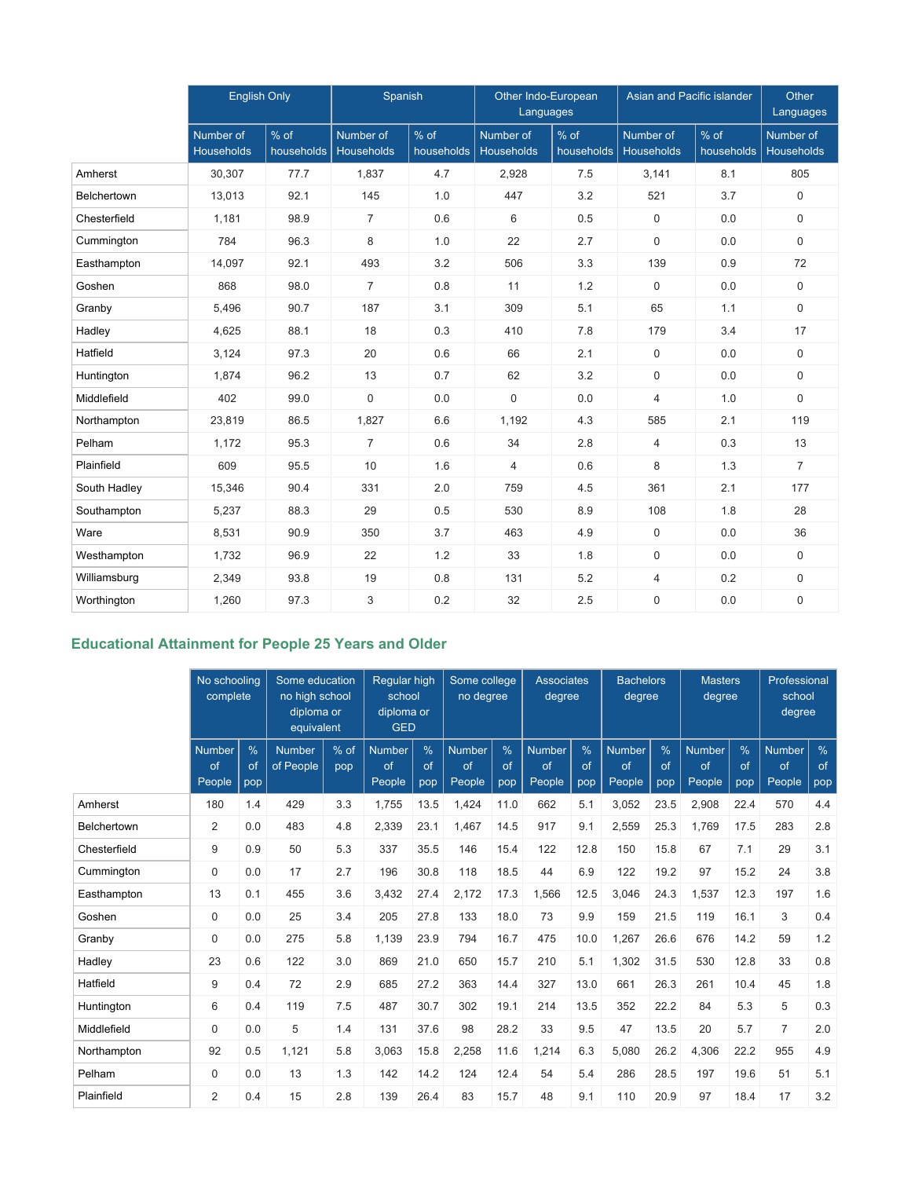|              | <b>English Only</b>     |                    | Spanish                 |                    | Other Indo-European<br>Languages |                                | Asian and Pacific islander     |                      | <b>Other</b><br>Languages |
|--------------|-------------------------|--------------------|-------------------------|--------------------|----------------------------------|--------------------------------|--------------------------------|----------------------|---------------------------|
|              | Number of<br>Households | % of<br>households | Number of<br>Households | % of<br>households | Number of<br><b>Households</b>   | $\frac{9}{6}$ of<br>households | Number of<br><b>Households</b> | $%$ of<br>households | Number of<br>Households   |
| Amherst      | 30,307                  | 77.7               | 1,837                   | 4.7                | 2,928                            | 7.5                            | 3,141                          | 8.1                  | 805                       |
| Belchertown  | 13,013                  | 92.1               | 145                     | 1.0                | 447                              | 3.2                            | 521                            | 3.7                  | $\mathsf{O}$              |
| Chesterfield | 1,181                   | 98.9               | $\overline{7}$          | 0.6                | 6                                | 0.5                            | $\Omega$                       | 0.0                  | $\Omega$                  |
| Cummington   | 784                     | 96.3               | 8                       | 1.0                | 22                               | 2.7                            | $\mathbf 0$                    | 0.0                  | $\Omega$                  |
| Easthampton  | 14,097                  | 92.1               | 493                     | 3.2                | 506                              | 3.3                            | 139                            | 0.9                  | 72                        |
| Goshen       | 868                     | 98.0               | $\overline{7}$          | 0.8                | 11                               | 1.2                            | $\boldsymbol{0}$               | 0.0                  | $\mathbf 0$               |
| Granby       | 5,496                   | 90.7               | 187                     | 3.1                | 309                              | 5.1                            | 65                             | 1.1                  | $\mathsf{O}$              |
| Hadley       | 4,625                   | 88.1               | 18                      | 0.3                | 410                              | 7.8                            | 179                            | 3.4                  | 17                        |
| Hatfield     | 3,124                   | 97.3               | 20                      | 0.6                | 66                               | 2.1                            | $\mathbf 0$                    | 0.0                  | $\mathbf 0$               |
| Huntington   | 1,874                   | 96.2               | 13                      | 0.7                | 62                               | 3.2                            | 0                              | 0.0                  | $\mathbf 0$               |
| Middlefield  | 402                     | 99.0               | 0                       | 0.0                | 0                                | 0.0                            | 4                              | 1.0                  | $\Omega$                  |
| Northampton  | 23,819                  | 86.5               | 1,827                   | 6.6                | 1,192                            | 4.3                            | 585                            | 2.1                  | 119                       |
| Pelham       | 1,172                   | 95.3               | $\overline{7}$          | 0.6                | 34                               | 2.8                            | $\overline{4}$                 | 0.3                  | 13                        |
| Plainfield   | 609                     | 95.5               | 10                      | 1.6                | $\overline{4}$                   | 0.6                            | 8                              | 1.3                  | $\overline{7}$            |
| South Hadley | 15,346                  | 90.4               | 331                     | 2.0                | 759                              | 4.5                            | 361                            | 2.1                  | 177                       |
| Southampton  | 5,237                   | 88.3               | 29                      | 0.5                | 530                              | 8.9                            | 108                            | 1.8                  | 28                        |
| Ware         | 8,531                   | 90.9               | 350                     | 3.7                | 463                              | 4.9                            | $\mathbf 0$                    | 0.0                  | 36                        |
| Westhampton  | 1,732                   | 96.9               | 22                      | 1.2                | 33                               | 1.8                            | $\mathbf 0$                    | 0.0                  | $\mathbf 0$               |
| Williamsburg | 2,349                   | 93.8               | 19                      | 0.8                | 131                              | 5.2                            | $\overline{4}$                 | 0.2                  | $\mathbf 0$               |
| Worthington  | 1,260                   | 97.3               | 3                       | 0.2                | 32                               | 2.5                            | $\mathbf 0$                    | 0.0                  | $\mathbf 0$               |

# **Educational Attainment for People 25 Years and Older**

|              | No schooling<br>complete      |                            | Some education<br>no high school<br>diploma or<br>equivalent |               | <b>Reqular high</b><br>school<br>diploma or<br><b>GED</b> |                            | Some college<br>no degree     |                            | <b>Associates</b><br>degree   |                   | <b>Bachelors</b><br>degree    |                   | <b>Masters</b><br>degree      |                            | Professional<br>school<br>degree |                |
|--------------|-------------------------------|----------------------------|--------------------------------------------------------------|---------------|-----------------------------------------------------------|----------------------------|-------------------------------|----------------------------|-------------------------------|-------------------|-------------------------------|-------------------|-------------------------------|----------------------------|----------------------------------|----------------|
|              | <b>Number</b><br>of<br>People | $\frac{0}{0}$<br>of<br>pop | <b>Number</b><br>of People                                   | $%$ of<br>pop | <b>Number</b><br>of<br>People                             | $\frac{0}{6}$<br>of<br>pop | <b>Number</b><br>of<br>People | $\frac{0}{6}$<br>of<br>pop | <b>Number</b><br>of<br>People | $\%$<br>of<br>pop | <b>Number</b><br>of<br>People | $\%$<br>of<br>pop | <b>Number</b><br>of<br>People | $\frac{0}{6}$<br>of<br>pop | <b>Number</b><br>of<br>People    | %<br>of<br>pop |
| Amherst      | 180                           | 1.4                        | 429                                                          | 3.3           | 1,755                                                     | 13.5                       | 1,424                         | 11.0                       | 662                           | 5.1               | 3,052                         | 23.5              | 2,908                         | 22.4                       | 570                              | 4.4            |
| Belchertown  | $\overline{2}$                | 0.0                        | 483                                                          | 4.8           | 2,339                                                     | 23.1                       | 1,467                         | 14.5                       | 917                           | 9.1               | 2,559                         | 25.3              | 1,769                         | 17.5                       | 283                              | 2.8            |
| Chesterfield | 9                             | 0.9                        | 50                                                           | 5.3           | 337                                                       | 35.5                       | 146                           | 15.4                       | 122                           | 12.8              | 150                           | 15.8              | 67                            | 7.1                        | 29                               | 3.1            |
| Cummington   | $\mathbf 0$                   | 0.0                        | 17                                                           | 2.7           | 196                                                       | 30.8                       | 118                           | 18.5                       | 44                            | 6.9               | 122                           | 19.2              | 97                            | 15.2                       | 24                               | 3.8            |
| Easthampton  | 13                            | 0.1                        | 455                                                          | 3.6           | 3,432                                                     | 27.4                       | 2,172                         | 17.3                       | 1,566                         | 12.5              | 3,046                         | 24.3              | 1,537                         | 12.3                       | 197                              | 1.6            |
| Goshen       | 0                             | 0.0                        | 25                                                           | 3.4           | 205                                                       | 27.8                       | 133                           | 18.0                       | 73                            | 9.9               | 159                           | 21.5              | 119                           | 16.1                       | 3                                | 0.4            |
| Granby       | 0                             | 0.0                        | 275                                                          | 5.8           | 1,139                                                     | 23.9                       | 794                           | 16.7                       | 475                           | 10.0              | 1,267                         | 26.6              | 676                           | 14.2                       | 59                               | 1.2            |
| Hadley       | 23                            | 0.6                        | 122                                                          | 3.0           | 869                                                       | 21.0                       | 650                           | 15.7                       | 210                           | 5.1               | 1,302                         | 31.5              | 530                           | 12.8                       | 33                               | 0.8            |
| Hatfield     | 9                             | 0.4                        | 72                                                           | 2.9           | 685                                                       | 27.2                       | 363                           | 14.4                       | 327                           | 13.0              | 661                           | 26.3              | 261                           | 10.4                       | 45                               | 1.8            |
| Huntington   | 6                             | 0.4                        | 119                                                          | 7.5           | 487                                                       | 30.7                       | 302                           | 19.1                       | 214                           | 13.5              | 352                           | 22.2              | 84                            | 5.3                        | 5                                | 0.3            |
| Middlefield  | 0                             | 0.0                        | 5                                                            | 1.4           | 131                                                       | 37.6                       | 98                            | 28.2                       | 33                            | 9.5               | 47                            | 13.5              | 20                            | 5.7                        | $\overline{7}$                   | 2.0            |
| Northampton  | 92                            | 0.5                        | 1,121                                                        | 5.8           | 3,063                                                     | 15.8                       | 2,258                         | 11.6                       | 1,214                         | 6.3               | 5,080                         | 26.2              | 4,306                         | 22.2                       | 955                              | 4.9            |
| Pelham       | $\Omega$                      | 0.0                        | 13                                                           | 1.3           | 142                                                       | 14.2                       | 124                           | 12.4                       | 54                            | 5.4               | 286                           | 28.5              | 197                           | 19.6                       | 51                               | 5.1            |
| Plainfield   | $\overline{2}$                | 0.4                        | 15                                                           | 2.8           | 139                                                       | 26.4                       | 83                            | 15.7                       | 48                            | 9.1               | 110                           | 20.9              | 97                            | 18.4                       | 17                               | 3.2            |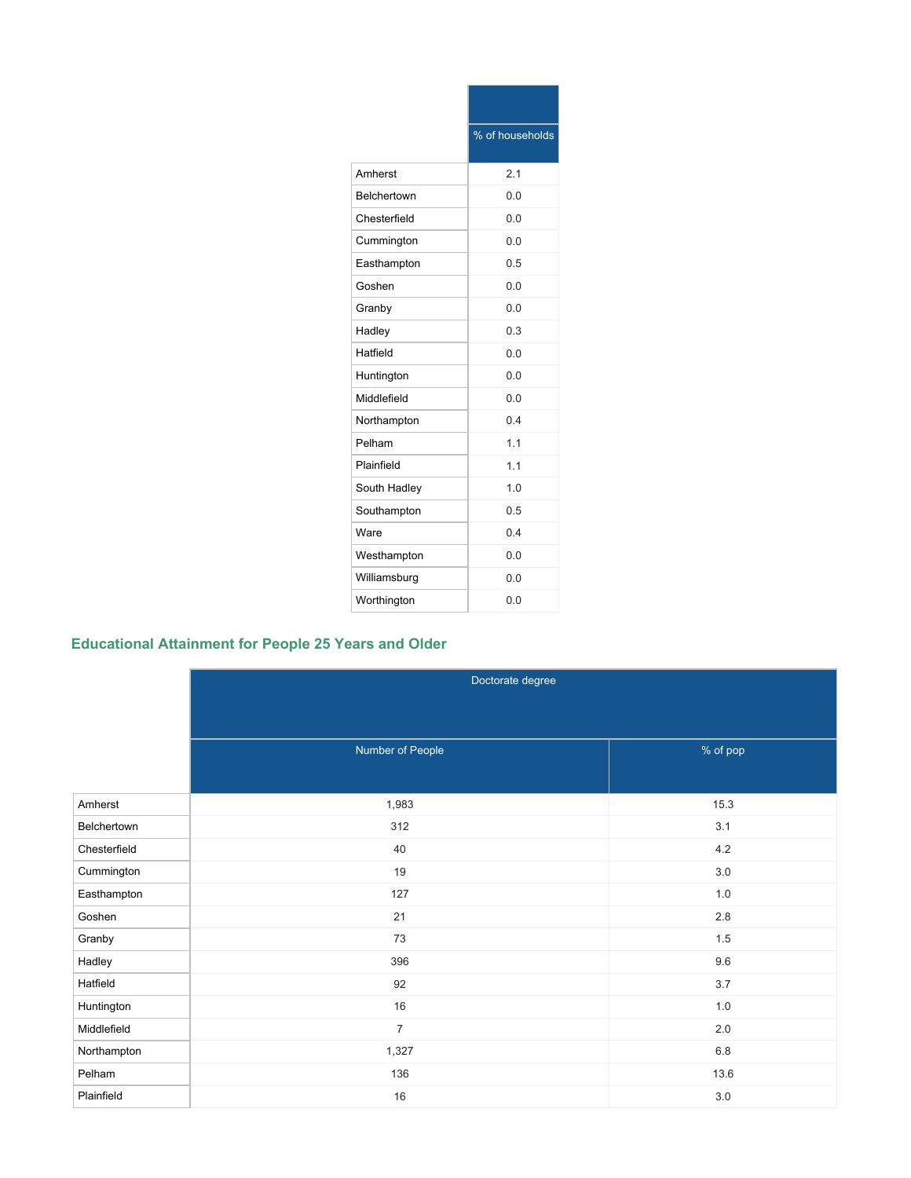|              | % of households |
|--------------|-----------------|
| Amherst      | 2.1             |
| Belchertown  | 0.0             |
| Chesterfield | 0.0             |
| Cummington   | 0.0             |
| Easthampton  | 0.5             |
| Goshen       | 0.0             |
| Granby       | 0.0             |
| Hadley       | 0.3             |
| Hatfield     | 0.0             |
| Huntington   | 0.0             |
| Middlefield  | 0.0             |
| Northampton  | 04              |
| Pelham       | 1.1             |
| Plainfield   | 1.1             |
| South Hadley | 1.0             |
| Southampton  | 0.5             |
| Ware         | 0.4             |
| Westhampton  | 0.0             |
| Williamsburg | 0.0             |
| Worthington  | 0.0             |

# **Educational Attainment for People 25 Years and Older**

|              | Doctorate degree |          |
|--------------|------------------|----------|
|              |                  |          |
|              | Number of People | % of pop |
|              |                  |          |
|              |                  |          |
| Amherst      | 1,983            | 15.3     |
| Belchertown  | 312              | 3.1      |
| Chesterfield | 40               | $4.2\,$  |
| Cummington   | 19               | $3.0\,$  |
| Easthampton  | 127              | $1.0\,$  |
| Goshen       | 21               | $2.8\,$  |
| Granby       | 73               | $1.5\,$  |
| Hadley       | 396              | $9.6\,$  |
| Hatfield     | 92               | 3.7      |
| Huntington   | 16               | $1.0\,$  |
| Middlefield  | $\overline{7}$   | $2.0\,$  |
| Northampton  | 1,327            | $6.8\,$  |
| Pelham       | 136              | 13.6     |
| Plainfield   | 16               | $3.0\,$  |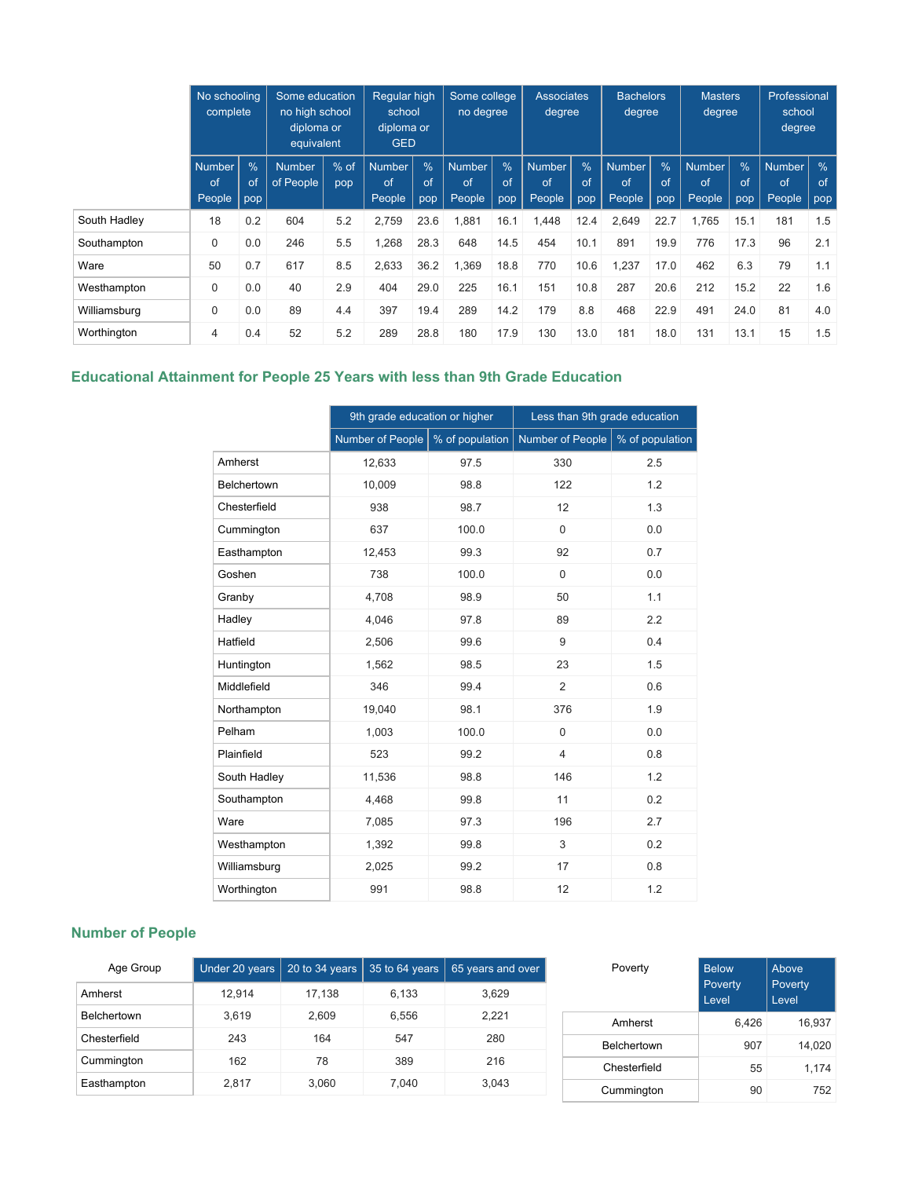|              | No schooling<br>complete      |                            | Some education<br>no high school<br>diploma or<br>equivalent |               | Regular high<br>school<br>diploma or<br><b>GED</b> |                            | Some college<br>no degree     |                            | <b>Associates</b><br><b>Bachelors</b><br>degree<br>degree |                |                               | <b>Masters</b><br>degree |                               | Professional<br>school<br>degree |                               |                            |
|--------------|-------------------------------|----------------------------|--------------------------------------------------------------|---------------|----------------------------------------------------|----------------------------|-------------------------------|----------------------------|-----------------------------------------------------------|----------------|-------------------------------|--------------------------|-------------------------------|----------------------------------|-------------------------------|----------------------------|
|              | <b>Number</b><br>of<br>People | $\frac{9}{6}$<br>of<br>pop | <b>Number</b><br>of People                                   | $%$ of<br>pop | <b>Number</b><br>of<br>People                      | $\frac{9}{6}$<br>of<br>pop | <b>Number</b><br>of<br>People | $\frac{9}{6}$<br>of<br>pop | Number<br>of<br>People                                    | %<br>of<br>pop | <b>Number</b><br>of<br>People | %<br>of<br>pop           | <b>Number</b><br>of<br>People | $\frac{0}{0}$<br>of<br>pop       | <b>Number</b><br>of<br>People | $\frac{0}{6}$<br>of<br>pop |
| South Hadley | 18                            | 0.2                        | 604                                                          | 5.2           | 2,759                                              | 23.6                       | 1,881                         | 16.1                       | 1,448                                                     | 12.4           | 2,649                         | 22.7                     | 1,765                         | 15.1                             | 181                           | 1.5                        |
| Southampton  | 0                             | 0.0                        | 246                                                          | 5.5           | 1,268                                              | 28.3                       | 648                           | 14.5                       | 454                                                       | 10.1           | 891                           | 19.9                     | 776                           | 17.3                             | 96                            | 2.1                        |
| Ware         | 50                            | 0.7                        | 617                                                          | 8.5           | 2,633                                              | 36.2                       | 1,369                         | 18.8                       | 770                                                       | 10.6           | 1,237                         | 17.0                     | 462                           | 6.3                              | 79                            | 1.1                        |
| Westhampton  | $\mathbf 0$                   | 0.0                        | 40                                                           | 2.9           | 404                                                | 29.0                       | 225                           | 16.1                       | 151                                                       | 10.8           | 287                           | 20.6                     | 212                           | 15.2                             | 22                            | 1.6                        |
| Williamsburg | 0                             | 0.0                        | 89                                                           | 4.4           | 397                                                | 19.4                       | 289                           | 14.2                       | 179                                                       | 8.8            | 468                           | 22.9                     | 491                           | 24.0                             | 81                            | 4.0                        |
| Worthington  | $\overline{4}$                | 0.4                        | 52                                                           | 5.2           | 289                                                | 28.8                       | 180                           | 17.9                       | 130                                                       | 13.0           | 181                           | 18.0                     | 131                           | 13.1                             | 15                            | 1.5                        |

# **Educational Attainment for People 25 Years with less than 9th Grade Education**

|              | 9th grade education or higher |                 | Less than 9th grade education |                 |
|--------------|-------------------------------|-----------------|-------------------------------|-----------------|
|              | Number of People              | % of population | <b>Number of People</b>       | % of population |
| Amherst      | 12,633                        | 97.5            | 330                           | 2.5             |
| Belchertown  | 10,009                        | 98.8            | 122                           | 1.2             |
| Chesterfield | 938                           | 98.7            | 12                            | 1.3             |
| Cummington   | 637                           | 100.0           | $\mathbf 0$                   | 0.0             |
| Easthampton  | 12,453                        | 99.3            | 92                            | 0.7             |
| Goshen       | 738                           | 100.0           | $\overline{0}$                | 0.0             |
| Granby       | 4,708                         | 98.9            | 50                            | 1.1             |
| Hadley       | 4,046                         | 97.8            | 89                            | 2.2             |
| Hatfield     | 2,506                         | 99.6            | 9                             | 0.4             |
| Huntington   | 1,562                         | 98.5            | 23                            | 1.5             |
| Middlefield  | 346                           | 99.4            | $\overline{2}$                | 0.6             |
| Northampton  | 19,040                        | 98.1            | 376                           | 1.9             |
| Pelham       | 1,003                         | 100.0           | 0                             | 0.0             |
| Plainfield   | 523                           | 99.2            | $\overline{4}$                | 0.8             |
| South Hadley | 11,536                        | 98.8            | 146                           | 1.2             |
| Southampton  | 4,468                         | 99.8            | 11                            | 0.2             |
| Ware         | 7,085                         | 97.3            | 196                           | 2.7             |
| Westhampton  | 1,392                         | 99.8            | 3                             | 0.2             |
| Williamsburg | 2,025                         | 99.2            | 17                            | 0.8             |
| Worthington  | 991                           | 98.8            | 12                            | 1.2             |

# **Number of People**

| Age Group          | Under 20 years | 20 to 34 years | 35 to 64 years | 65 years and over | Poverty            | <b>Below</b>            | Above            |
|--------------------|----------------|----------------|----------------|-------------------|--------------------|-------------------------|------------------|
| Amherst            | 12.914         | 17.138         | 6.133          | 3,629             |                    | <b>Poverty</b><br>Level | Poverty<br>Level |
| <b>Belchertown</b> | 3.619          | 2.609          | 6.556          | 2.221             | Amherst            | 6.426                   | 16,937           |
| Chesterfield       | 243            | 164            | 547            | 280               | <b>Belchertown</b> | 907                     | 14.020           |
| Cummington         | 162            | 78             | 389            | 216               | Chesterfield       | 55                      | 1,174            |
| Easthampton        | 2.817          | 3,060          | 7.040          | 3,043             | Cummington         | 90                      | 752              |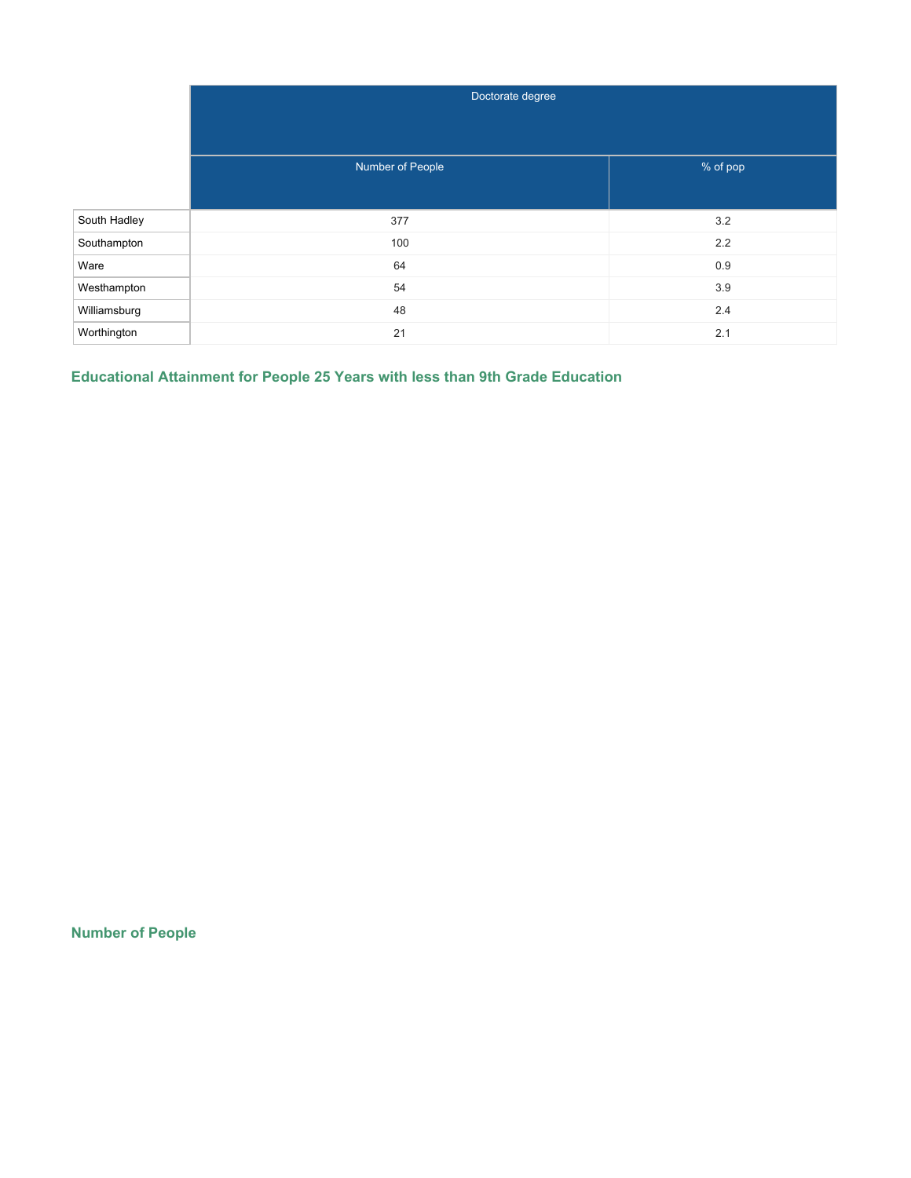|              | Doctorate degree |          |
|--------------|------------------|----------|
|              |                  |          |
|              | Number of People | % of pop |
| South Hadley | 377              | 3.2      |
| Southampton  | 100              | 2.2      |
| Ware         | 64               | 0.9      |
| Westhampton  | 54               | 3.9      |
| Williamsburg | 48               | 2.4      |
| Worthington  | 21               | 2.1      |

**Educational Attainment for People 25 Years with less than 9th Grade Education**

**Number of People**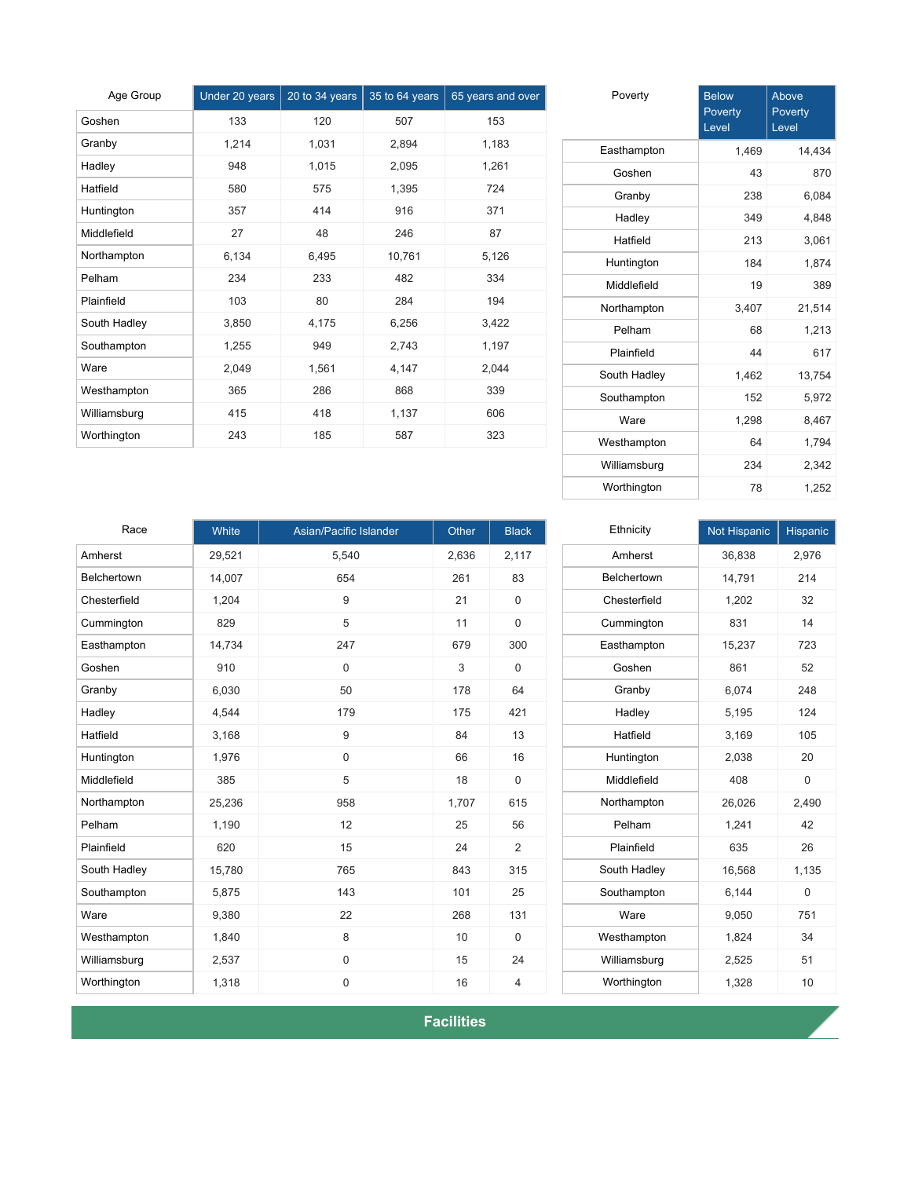| Age Group    | Under 20 years | 20 to 34 years | 35 to 64 years | 65 years and over |
|--------------|----------------|----------------|----------------|-------------------|
| Goshen       | 133            | 120            | 507            | 153               |
| Granby       | 1,214          | 1,031          | 2,894          | 1,183             |
| Hadley       | 948            | 1,015          | 2,095          | 1,261             |
| Hatfield     | 580            | 575            | 1,395          | 724               |
| Huntington   | 357            | 414            | 916            | 371               |
| Middlefield  | 27             | 48             | 246            | 87                |
| Northampton  | 6,134          | 6,495          | 10,761         | 5,126             |
| Pelham       | 234            | 233            | 482            | 334               |
| Plainfield   | 103            | 80             | 284            | 194               |
| South Hadley | 3,850          | 4,175          | 6,256          | 3,422             |
| Southampton  | 1,255          | 949            | 2,743          | 1,197             |
| Ware         | 2,049          | 1,561          | 4,147          | 2,044             |
| Westhampton  | 365            | 286            | 868            | 339               |
| Williamsburg | 415            | 418            | 1,137          | 606               |
| Worthington  | 243            | 185            | 587            | 323               |

| Poverty      | <b>Below</b><br>Poverty<br>Level | Above<br>Poverty<br>Level |
|--------------|----------------------------------|---------------------------|
| Easthampton  | 1,469                            | 14,434                    |
| Goshen       | 43                               | 870                       |
| Granby       | 238                              | 6,084                     |
| Hadley       | 349                              | 4,848                     |
| Hatfield     | 213                              | 3,061                     |
| Huntington   | 184                              | 1,874                     |
| Middlefield  | 19                               | 389                       |
| Northampton  | 3,407                            | 21,514                    |
| Pelham       | 68                               | 1,213                     |
| Plainfield   | 44                               | 617                       |
| South Hadley | 1,462                            | 13,754                    |
| Southampton  | 152                              | 5,972                     |
| Ware         | 1,298                            | 8,467                     |
| Westhampton  | 64                               | 1,794                     |
| Williamsburg | 234                              | 2,342                     |
| Worthington  | 78                               | 1,252                     |

| Race         | White  | Asian/Pacific Islander | Other | <b>Black</b>   |
|--------------|--------|------------------------|-------|----------------|
| Amherst      | 29,521 | 5,540                  | 2,636 | 2,117          |
| Belchertown  | 14,007 | 654                    | 261   | 83             |
| Chesterfield | 1,204  | 9                      | 21    | $\Omega$       |
| Cummington   | 829    | 5                      | 11    | $\mathbf 0$    |
| Easthampton  | 14,734 | 247                    | 679   | 300            |
| Goshen       | 910    | 0                      | 3     | $\mathbf 0$    |
| Granby       | 6,030  | 50                     | 178   | 64             |
| Hadley       | 4,544  | 179                    | 175   | 421            |
| Hatfield     | 3,168  | 9                      | 84    | 13             |
| Huntington   | 1,976  | $\mathbf 0$            | 66    | 16             |
| Middlefield  | 385    | 5                      | 18    | $\mathbf 0$    |
| Northampton  | 25,236 | 958                    | 1,707 | 615            |
| Pelham       | 1,190  | 12                     | 25    | 56             |
| Plainfield   | 620    | 15                     | 24    | 2              |
| South Hadley | 15,780 | 765                    | 843   | 315            |
| Southampton  | 5,875  | 143                    | 101   | 25             |
| Ware         | 9,380  | 22                     | 268   | 131            |
| Westhampton  | 1,840  | 8                      | 10    | $\mathbf 0$    |
| Williamsburg | 2,537  | 0                      | 15    | 24             |
| Worthington  | 1,318  | 0                      | 16    | $\overline{4}$ |

| Ethnicity    | <b>Not Hispanic</b> | <b>Hispanic</b> |
|--------------|---------------------|-----------------|
| Amherst      | 36,838              | 2,976           |
| Belchertown  | 14,791              | 214             |
| Chesterfield | 1,202               | 32              |
| Cummington   | 831                 | 14              |
| Easthampton  | 15,237              | 723             |
| Goshen       | 861                 | 52              |
| Granby       | 6,074               | 248             |
| Hadley       | 5,195               | 124             |
| Hatfield     | 3,169               | 105             |
| Huntington   | 2,038               | 20              |
| Middlefield  | 408                 | 0               |
| Northampton  | 26,026              | 2,490           |
| Pelham       | 1,241               | 42              |
| Plainfield   | 635                 | 26              |
| South Hadley | 16,568              | 1,135           |
| Southampton  | 6,144               | 0               |
| Ware         | 9,050               | 751             |
| Westhampton  | 1,824               | 34              |
| Williamsburg | 2,525               | 51              |
| Worthington  | 1,328               | 10              |

**Facilities**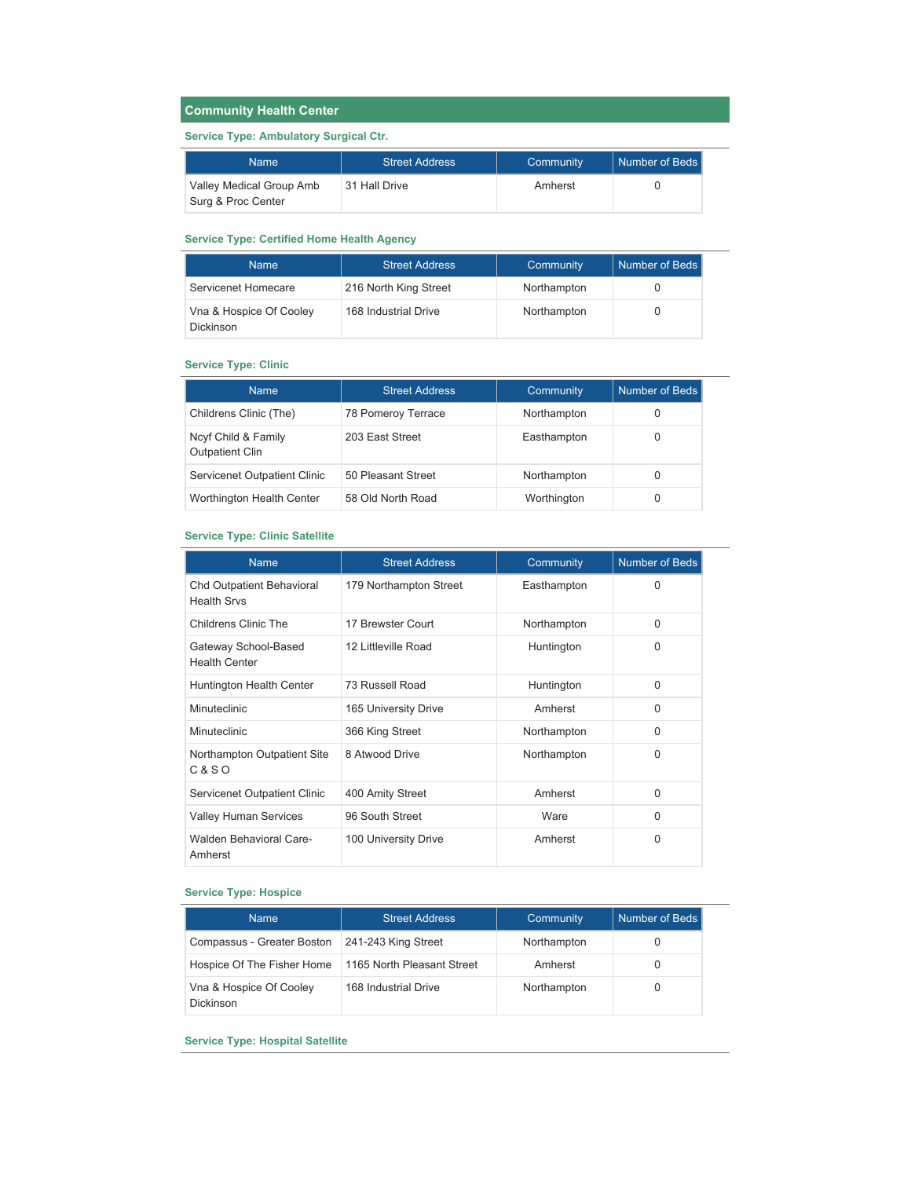## **Community Health Center**

### **Service Type: Ambulatory Surgical Ctr.**

| <b>Name</b>                                    | <b>Street Address</b> | Community | Number of Beds |
|------------------------------------------------|-----------------------|-----------|----------------|
| Valley Medical Group Amb<br>Surg & Proc Center | 31 Hall Drive         | Amherst   |                |

#### **Service Type: Certified Home Health Agency**

| <b>Name</b>                          | <b>Street Address</b> | Community   | Number of Beds |
|--------------------------------------|-----------------------|-------------|----------------|
| Servicenet Homecare                  | 216 North King Street | Northampton |                |
| Vna & Hospice Of Cooley<br>Dickinson | 168 Industrial Drive  | Northampton |                |

#### **Service Type: Clinic**

| <b>Name</b>                                   | Street Address     | Community   | Number of Beds |
|-----------------------------------------------|--------------------|-------------|----------------|
| Childrens Clinic (The)                        | 78 Pomeroy Terrace | Northampton |                |
| Ncyf Child & Family<br><b>Outpatient Clin</b> | 203 East Street    | Easthampton |                |
| Servicenet Outpatient Clinic                  | 50 Pleasant Street | Northampton |                |
| Worthington Health Center                     | 58 Old North Road  | Worthington | 0              |

### **Service Type: Clinic Satellite**

| <b>Name</b>                                            | <b>Street Address</b>  | Community   | <b>Number of Beds</b> |
|--------------------------------------------------------|------------------------|-------------|-----------------------|
| <b>Chd Outpatient Behavioral</b><br><b>Health Srvs</b> | 179 Northampton Street | Easthampton | 0                     |
| Childrens Clinic The                                   | 17 Brewster Court      | Northampton | $\Omega$              |
| Gateway School-Based<br><b>Health Center</b>           | 12 Littleville Road    | Huntington  | $\Omega$              |
| Huntington Health Center                               | 73 Russell Road        | Huntington  | $\Omega$              |
| Minuteclinic                                           | 165 University Drive   | Amherst     | <sup>0</sup>          |
| Minuteclinic                                           | 366 King Street        | Northampton | $\Omega$              |
| Northampton Outpatient Site<br>$C & S$ O               | 8 Atwood Drive         | Northampton | $\Omega$              |
| Servicenet Outpatient Clinic                           | 400 Amity Street       | Amherst     | $\Omega$              |
| <b>Valley Human Services</b>                           | 96 South Street        | Ware        | $\Omega$              |
| Walden Behavioral Care-<br>Amherst                     | 100 University Drive   | Amherst     | $\Omega$              |

### **Service Type: Hospice**

| <b>Name</b>                          | <b>Street Address</b>      | Community   | Number of Beds |
|--------------------------------------|----------------------------|-------------|----------------|
| Compassus - Greater Boston           | 241-243 King Street        | Northampton |                |
| Hospice Of The Fisher Home           | 1165 North Pleasant Street | Amherst     |                |
| Vna & Hospice Of Cooley<br>Dickinson | 168 Industrial Drive       | Northampton | O              |

**Service Type: Hospital Satellite**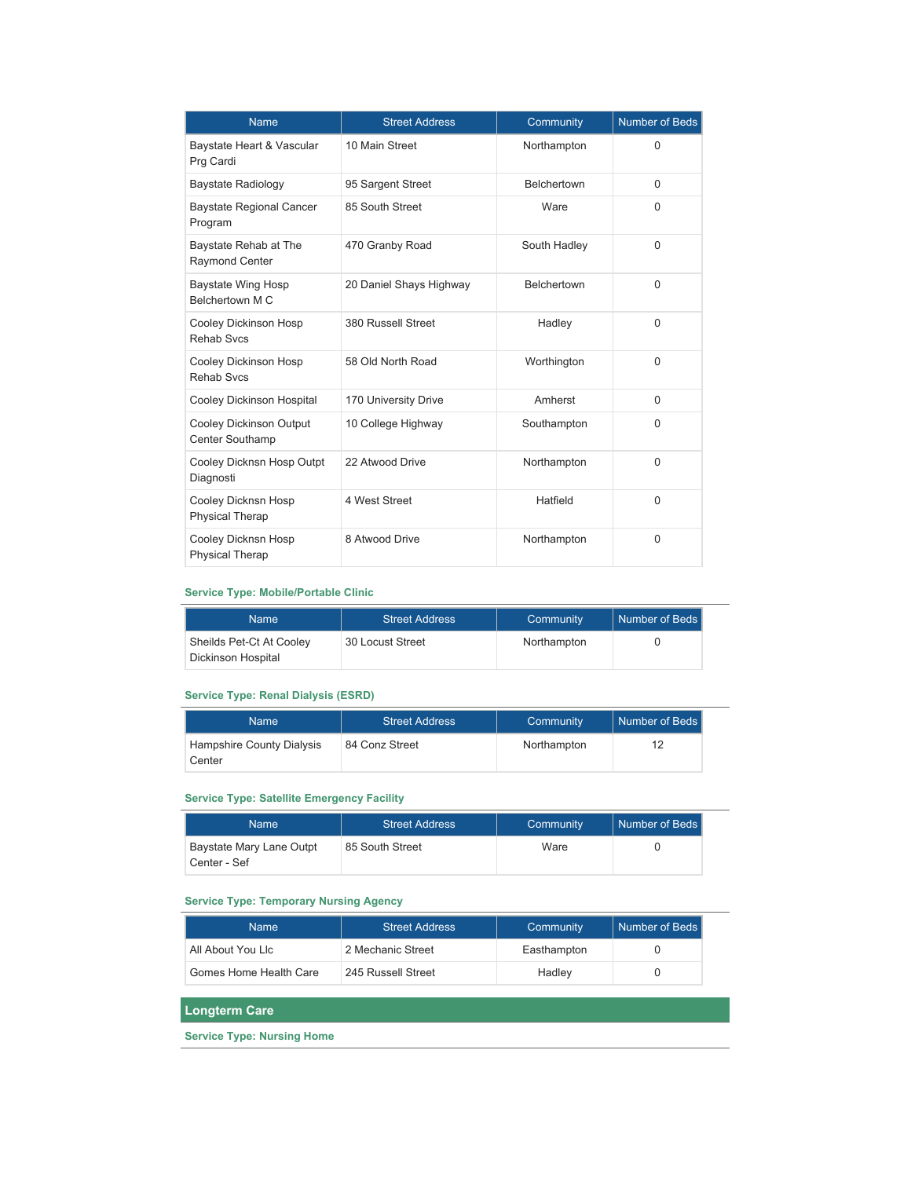| <b>Name</b>                                       | <b>Street Address</b>   | Community    | <b>Number of Beds</b> |
|---------------------------------------------------|-------------------------|--------------|-----------------------|
| Baystate Heart & Vascular<br>Prg Cardi            | 10 Main Street          | Northampton  | $\Omega$              |
| Baystate Radiology                                | 95 Sargent Street       | Belchertown  | $\Omega$              |
| <b>Baystate Regional Cancer</b><br>Program        | 85 South Street         | Ware         | $\Omega$              |
| Baystate Rehab at The<br><b>Raymond Center</b>    | 470 Granby Road         | South Hadley | $\Omega$              |
| <b>Baystate Wing Hosp</b><br>Belchertown M C      | 20 Daniel Shays Highway | Belchertown  | $\mathbf{0}$          |
| Cooley Dickinson Hosp<br><b>Rehab Svcs</b>        | 380 Russell Street      | Hadley       | $\Omega$              |
| Cooley Dickinson Hosp<br><b>Rehab Svcs</b>        | 58 Old North Road       | Worthington  | $\Omega$              |
| Cooley Dickinson Hospital                         | 170 University Drive    | Amherst      | $\Omega$              |
| Cooley Dickinson Output<br><b>Center Southamp</b> | 10 College Highway      | Southampton  | $\Omega$              |
| Cooley Dicknsn Hosp Outpt<br>Diagnosti            | 22 Atwood Drive         | Northampton  | $\Omega$              |
| Cooley Dicknsn Hosp<br><b>Physical Therap</b>     | 4 West Street           | Hatfield     | $\Omega$              |
| Cooley Dicknsn Hosp<br><b>Physical Therap</b>     | 8 Atwood Drive          | Northampton  | $\Omega$              |

#### **Service Type: Mobile/Portable Clinic**

| <b>Name</b>                                    | <b>Street Address</b> | Community   | Number of Beds |
|------------------------------------------------|-----------------------|-------------|----------------|
| Sheilds Pet-Ct At Cooley<br>Dickinson Hospital | 30 Locust Street      | Northampton |                |

### **Service Type: Renal Dialysis (ESRD)**

| <b>Name</b>                         | <b>Street Address</b> | Community   | Number of Beds |
|-------------------------------------|-----------------------|-------------|----------------|
| Hampshire County Dialysis<br>Center | 84 Conz Street        | Northampton | 12             |

### **Service Type: Satellite Emergency Facility**

| <b>Name</b>                              | <b>Street Address</b> | Community | Number of Beds |
|------------------------------------------|-----------------------|-----------|----------------|
| Baystate Mary Lane Outpt<br>Center - Sef | 85 South Street       | Ware      |                |

### **Service Type: Temporary Nursing Agency**

| <b>Name</b>            | <b>Street Address</b> | Community   | Number of Beds |
|------------------------|-----------------------|-------------|----------------|
| All About You Lic      | 2 Mechanic Street     | Easthampton |                |
| Gomes Home Health Care | 245 Russell Street    | Hadley      |                |

### **Longterm Care**

**Service Type: Nursing Home**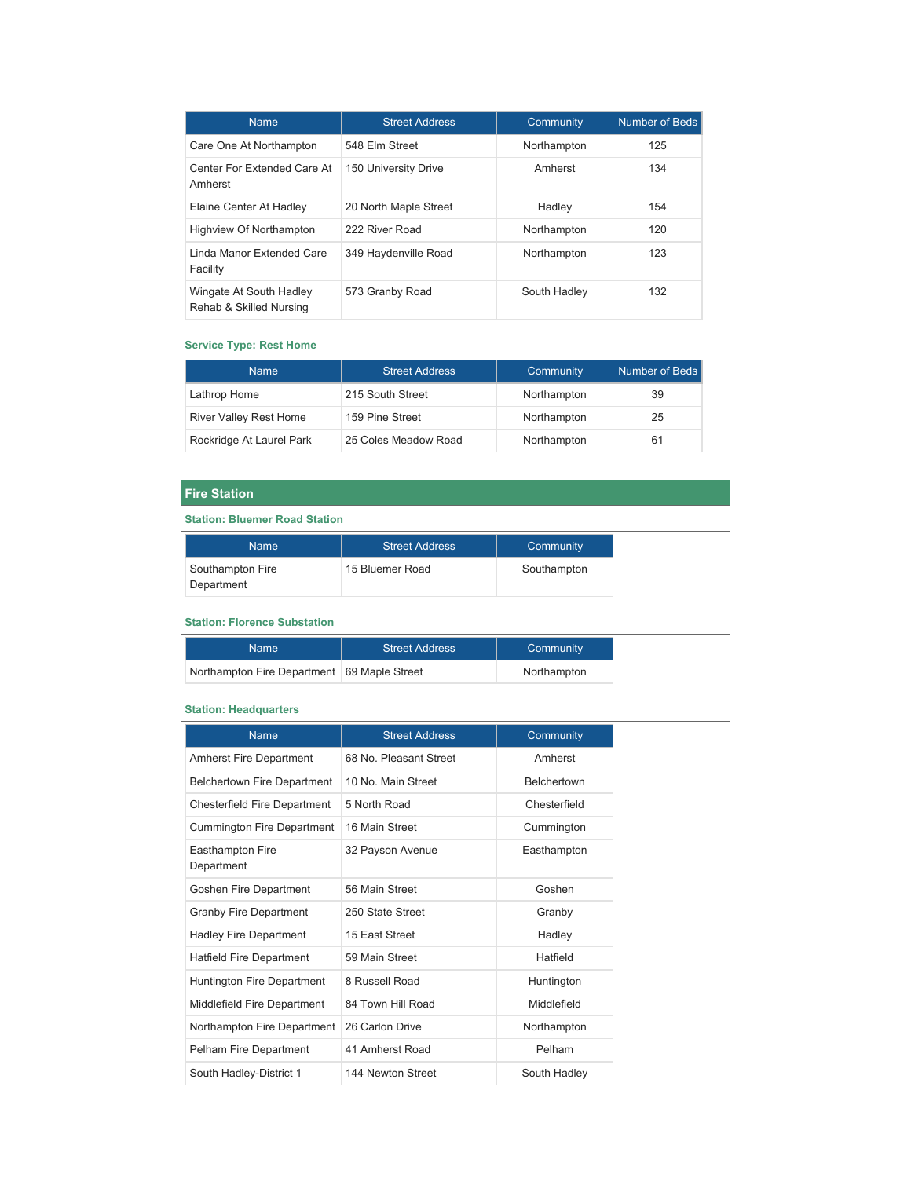| <b>Name</b>                                        | <b>Street Address</b> | Community    | Number of Beds |
|----------------------------------------------------|-----------------------|--------------|----------------|
| Care One At Northampton                            | 548 Elm Street        | Northampton  | 125            |
| Center For Extended Care At<br>Amherst             | 150 University Drive  | Amherst      | 134            |
| Elaine Center At Hadley                            | 20 North Maple Street | Hadley       | 154            |
| Highview Of Northampton                            | 222 River Road        | Northampton  | 120            |
| Linda Manor Extended Care<br>Facility              | 349 Haydenville Road  | Northampton  | 123            |
| Wingate At South Hadley<br>Rehab & Skilled Nursing | 573 Granby Road       | South Hadley | 132            |

#### **Service Type: Rest Home**

| <b>Name</b>                   | <b>Street Address</b> | Community   | Number of Beds |
|-------------------------------|-----------------------|-------------|----------------|
| Lathrop Home                  | 215 South Street      | Northampton | 39             |
| <b>River Valley Rest Home</b> | 159 Pine Street       | Northampton | 25             |
| Rockridge At Laurel Park      | 25 Coles Meadow Road  | Northampton | 61             |

## **Fire Station**

## **Station: Bluemer Road Station**

| <b>Name</b>                    | <b>Street Address</b> | Community   |
|--------------------------------|-----------------------|-------------|
| Southampton Fire<br>Department | 15 Bluemer Road       | Southampton |

### **Station: Florence Substation**

| Name                                          | <b>Street Address</b> | Community   |
|-----------------------------------------------|-----------------------|-------------|
| Northampton Fire Department   69 Maple Street |                       | Northampton |

### **Station: Headquarters**

| <b>Name</b>                         | <b>Street Address</b>  | Community          |
|-------------------------------------|------------------------|--------------------|
| <b>Amherst Fire Department</b>      | 68 No. Pleasant Street | Amherst            |
| <b>Belchertown Fire Department</b>  | 10 No Main Street      | <b>Belchertown</b> |
| <b>Chesterfield Fire Department</b> | 5 North Road           | Chesterfield       |
| <b>Cummington Fire Department</b>   | 16 Main Street         | Cummington         |
| Easthampton Fire<br>Department      | 32 Payson Avenue       | Easthampton        |
| Goshen Fire Department              | 56 Main Street         | Goshen             |
| <b>Granby Fire Department</b>       | 250 State Street       | Granby             |
| <b>Hadley Fire Department</b>       | 15 East Street         | Hadley             |
| <b>Hatfield Fire Department</b>     | 59 Main Street         | Hatfield           |
| Huntington Fire Department          | 8 Russell Road         | Huntington         |
| Middlefield Fire Department         | 84 Town Hill Road      | Middlefield        |
| Northampton Fire Department         | 26 Carlon Drive        | Northampton        |
| Pelham Fire Department              | 41 Amherst Road        | Pelham             |
| South Hadley-District 1             | 144 Newton Street      | South Hadley       |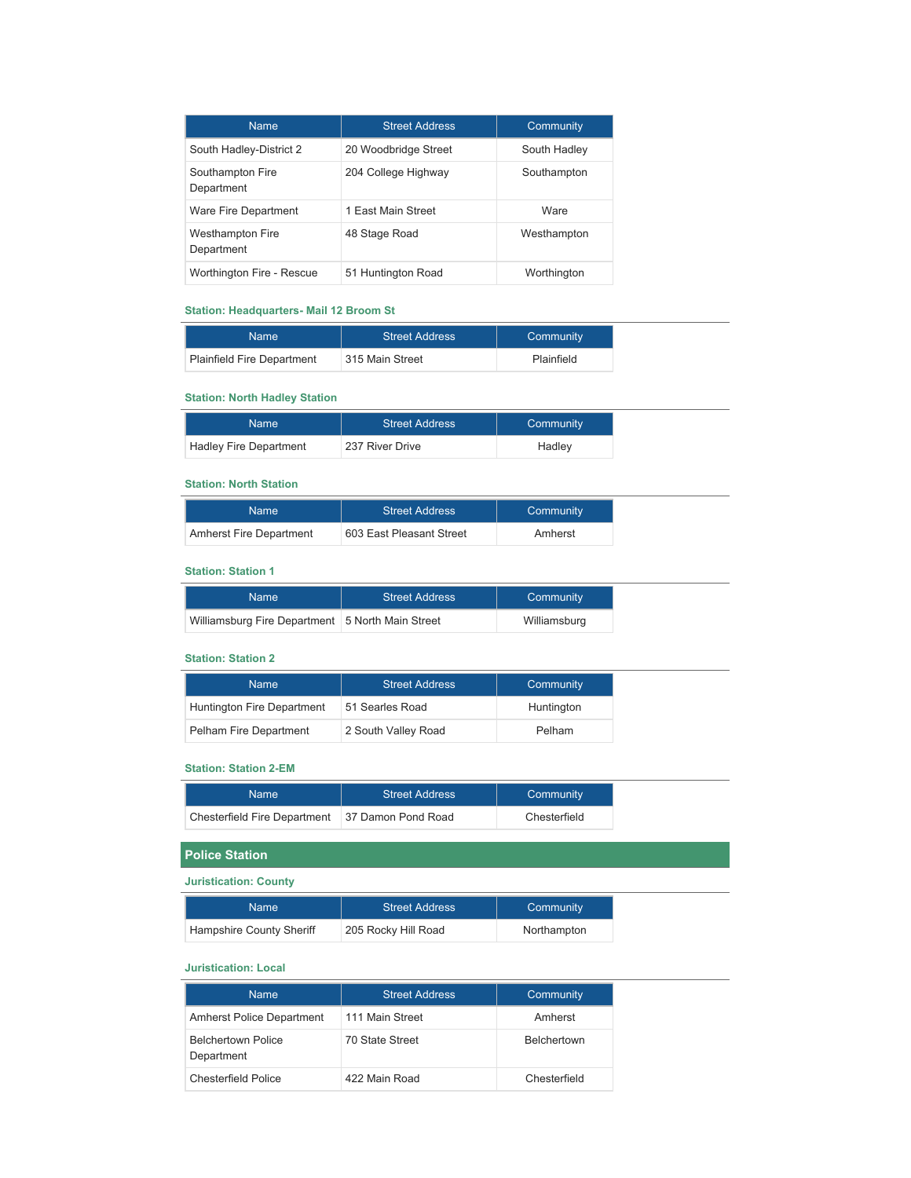| <b>Name</b>                           | <b>Street Address</b> | Community    |
|---------------------------------------|-----------------------|--------------|
| South Hadley-District 2               | 20 Woodbridge Street  | South Hadley |
| Southampton Fire<br>Department        | 204 College Highway   | Southampton  |
| Ware Fire Department                  | 1 Fast Main Street    | <b>Ware</b>  |
| <b>Westhampton Fire</b><br>Department | 48 Stage Road         | Westhampton  |
| Worthington Fire - Rescue             | 51 Huntington Road    | Worthington  |

## **Station: Headquarters- Mail 12 Broom St**

| Name                              | <b>Street Address</b> | Community  |
|-----------------------------------|-----------------------|------------|
| <b>Plainfield Fire Department</b> | 315 Main Street       | Plainfield |

### **Station: North Hadley Station**

| Name                          | <b>Street Address</b> | Community |
|-------------------------------|-----------------------|-----------|
| <b>Hadley Fire Department</b> | 237 River Drive       | Hadley    |

### **Station: North Station**

| Name                    | <b>Street Address</b>    | Community |
|-------------------------|--------------------------|-----------|
| Amherst Fire Department | 603 East Pleasant Street | Amherst   |

### **Station: Station 1**

| Name                                               | <b>Street Address</b> | Community    |
|----------------------------------------------------|-----------------------|--------------|
| Williamsburg Fire Department   5 North Main Street |                       | Williamsburg |

#### **Station: Station 2**

| <b>Name</b>                | <b>Street Address</b> | Community  |
|----------------------------|-----------------------|------------|
| Huntington Fire Department | 51 Searles Road       | Huntington |
| Pelham Fire Department     | 2 South Valley Road   | Pelham     |

#### **Station: Station 2-EM**

| Name                         | Street Address     | Community    |
|------------------------------|--------------------|--------------|
| Chesterfield Fire Department | 37 Damon Pond Road | Chesterfield |

# **Police Station**

### **Juristication: County**

| Name                     | <b>Street Address</b> | Community   |
|--------------------------|-----------------------|-------------|
| Hampshire County Sheriff | 205 Rocky Hill Road   | Northampton |

#### **Juristication: Local**

| <b>Name</b>                             | <b>Street Address</b> | Community          |
|-----------------------------------------|-----------------------|--------------------|
| <b>Amherst Police Department</b>        | 111 Main Street       | Amherst            |
| <b>Belchertown Police</b><br>Department | 70 State Street       | <b>Belchertown</b> |
| Chesterfield Police                     | 422 Main Road         | Chesterfield       |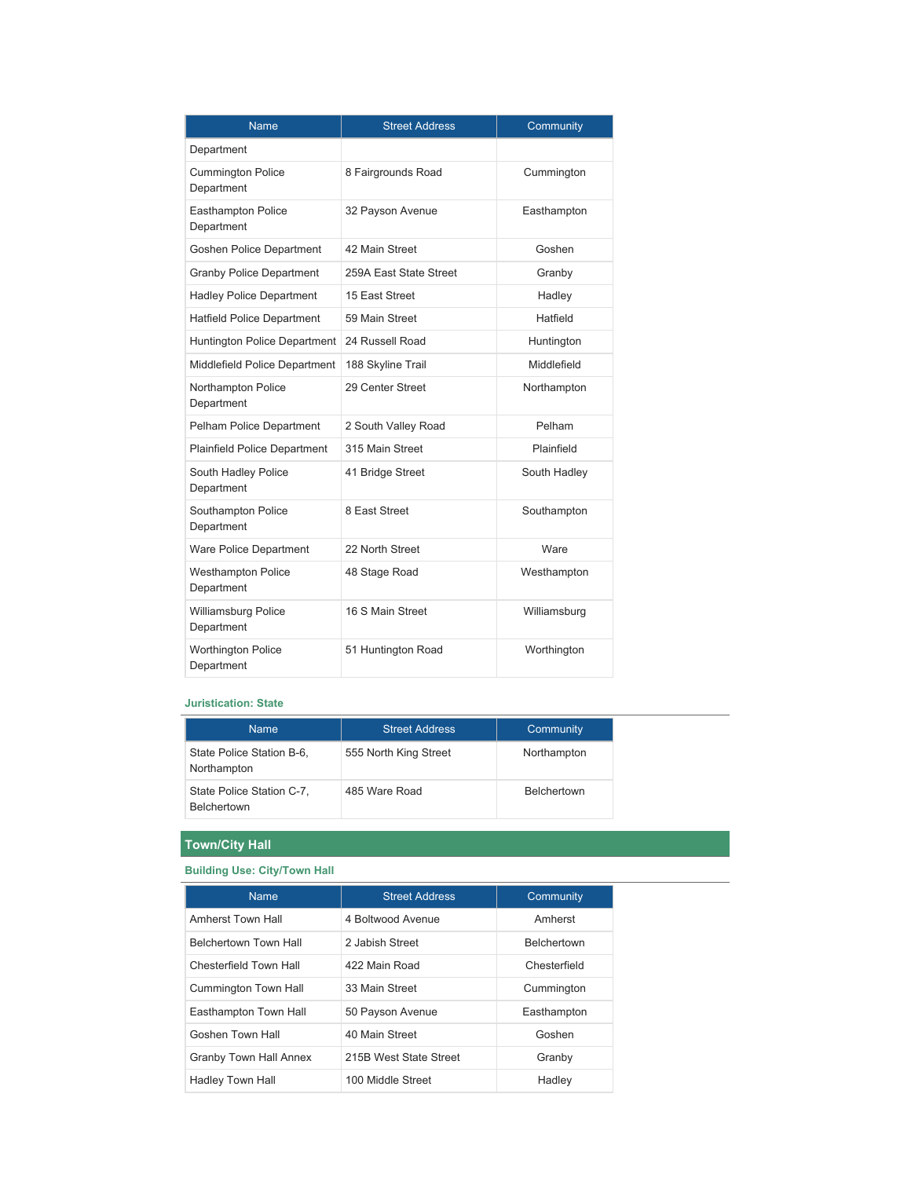| <b>Name</b>                             | <b>Street Address</b>  | Community    |
|-----------------------------------------|------------------------|--------------|
| Department                              |                        |              |
| <b>Cummington Police</b><br>Department  | 8 Fairgrounds Road     | Cummington   |
| <b>Easthampton Police</b><br>Department | 32 Payson Avenue       | Easthampton  |
| Goshen Police Department                | 42 Main Street         | Goshen       |
| <b>Granby Police Department</b>         | 259A East State Street | Granby       |
| <b>Hadley Police Department</b>         | 15 East Street         | Hadley       |
| <b>Hatfield Police Department</b>       | 59 Main Street         | Hatfield     |
| Huntington Police Department            | 24 Russell Road        | Huntington   |
| Middlefield Police Department           | 188 Skyline Trail      | Middlefield  |
| Northampton Police<br>Department        | 29 Center Street       | Northampton  |
| Pelham Police Department                | 2 South Valley Road    | Pelham       |
| <b>Plainfield Police Department</b>     | 315 Main Street        | Plainfield   |
| South Hadley Police<br>Department       | 41 Bridge Street       | South Hadley |
| Southampton Police<br>Department        | 8 East Street          | Southampton  |
| Ware Police Department                  | 22 North Street        | <b>Ware</b>  |
| <b>Westhampton Police</b><br>Department | 48 Stage Road          | Westhampton  |
| Williamsburg Police<br>Department       | 16 S Main Street       | Williamsburg |
| <b>Worthington Police</b><br>Department | 51 Huntington Road     | Worthington  |

#### **Juristication: State**

| <b>Name</b>                                     | <b>Street Address</b> | Community          |
|-------------------------------------------------|-----------------------|--------------------|
| State Police Station B-6,<br>Northampton        | 555 North King Street | Northampton        |
| State Police Station C-7,<br><b>Belchertown</b> | 485 Ware Road         | <b>Belchertown</b> |

# **Town/City Hall**

## **Building Use: City/Town Hall**

| <b>Name</b>                   | <b>Street Address</b>  | Community          |
|-------------------------------|------------------------|--------------------|
| Amherst Town Hall             | 4 Boltwood Avenue      | Amherst            |
| <b>Belchertown Town Hall</b>  | 2 Jabish Street        | <b>Belchertown</b> |
| Chesterfield Town Hall        | 422 Main Road          | Chesterfield       |
| <b>Cummington Town Hall</b>   | 33 Main Street         | Cummington         |
| Easthampton Town Hall         | 50 Payson Avenue       | Easthampton        |
| Goshen Town Hall              | 40 Main Street         | Goshen             |
| <b>Granby Town Hall Annex</b> | 215B West State Street | Granby             |
| Hadley Town Hall              | 100 Middle Street      | Hadley             |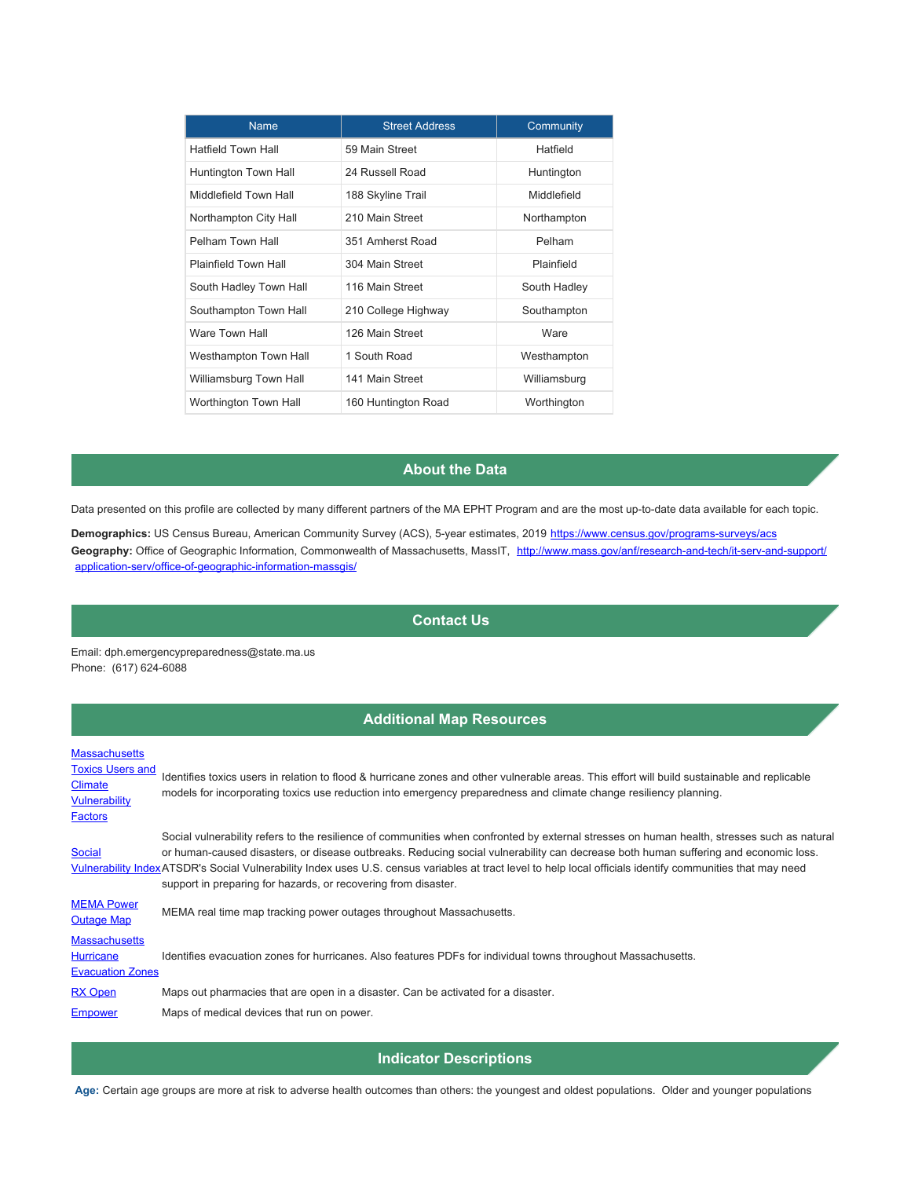| <b>Name</b>                 | <b>Street Address</b> | Community    |
|-----------------------------|-----------------------|--------------|
| <b>Hatfield Town Hall</b>   | 59 Main Street        | Hatfield     |
| Huntington Town Hall        | 24 Russell Road       | Huntington   |
| Middlefield Town Hall       | 188 Skyline Trail     | Middlefield  |
| Northampton City Hall       | 210 Main Street       | Northampton  |
| Pelham Town Hall            | 351 Amherst Road      | Pelham       |
| <b>Plainfield Town Hall</b> | 304 Main Street       | Plainfield   |
| South Hadley Town Hall      | 116 Main Street       | South Hadley |
| Southampton Town Hall       | 210 College Highway   | Southampton  |
| Ware Town Hall              | 126 Main Street       | <b>Ware</b>  |
| Westhampton Town Hall       | 1 South Road          | Westhampton  |
| Williamsburg Town Hall      | 141 Main Street       | Williamsburg |
| Worthington Town Hall       | 160 Huntington Road   | Worthington  |

### **About the Data**

Data presented on this profile are collected by many different partners of the MA EPHT Program and are the most up-to-date data available for each topic.

**Demographics:** US Census Bureau, American Community Survey (ACS), 5-year estimates, 2019 <https://www.census.gov/programs-surveys/acs> Geography: Office of Geographic Information, Commonwealth of Massachusetts, MassIT, [http://www.mass.gov/anf/research-and-tech/it-serv-and-support/](http://www.mass.gov/anf/research-and-tech/it-serv-and-support/application-serv/office-of-geographic-information-massgis/) [application-serv/office-of-geographic-information-massgis/](http://www.mass.gov/anf/research-and-tech/it-serv-and-support/application-serv/office-of-geographic-information-massgis/)

#### **Contact Us**

Email: dph.emergencypreparedness@state.ma.us Phone: (617) 624-6088

### **Additional Map Resources**

**[Massachusetts](https://mass-eoeea.maps.arcgis.com/apps/OnePane/basicviewer/index.html?appid=36d72b75ad55454fb8a9c1af809fa92a)** 

**Toxics Users and Climate** [Vulnerability](https://mass-eoeea.maps.arcgis.com/apps/OnePane/basicviewer/index.html?appid=36d72b75ad55454fb8a9c1af809fa92a) **[Factors](https://mass-eoeea.maps.arcgis.com/apps/OnePane/basicviewer/index.html?appid=36d72b75ad55454fb8a9c1af809fa92a)** Identifies toxics users in relation to flood & hurricane zones and other vulnerable areas. This effort will build sustainable and replicable models for incorporating toxics use reduction into emergency preparedness and climate change resiliency planning. **Social** [Vulnerability Index](https://svi.cdc.gov/map.aspx)ATSDR's Social Vulnerability Index uses U.S. census variables at tract level to help local officials identify communities that may need Social vulnerability refers to the resilience of communities when confronted by external stresses on human health, stresses such as natural or human-caused disasters, or disease outbreaks. Reducing social vulnerability can decrease both human suffering and economic loss. support in preparing for hazards, or recovering from disaster. [MEMA Power](http://mema.mapsonline.net/public.html)  MEMA Power MEMA real time map tracking power outages throughout Massachusetts. **[Massachusetts](http://www.mass.gov/eopss/agencies/mema/emergencies/hurricanes/hurricane-evacuation-zones.html) Hurricane** [Evacuation Zones](http://www.mass.gov/eopss/agencies/mema/emergencies/hurricanes/hurricane-evacuation-zones.html) Identifies evacuation zones for hurricanes. Also features PDFs for individual towns throughout Massachusetts. [RX Open](https://www.healthcareready.org/rxopen) Maps out pharmacies that are open in a disaster. Can be activated for a disaster. [Empower](https://empowermap.hhs.gov/) Maps of medical devices that run on power.

**Indicator Descriptions**

**Age:** Certain age groups are more at risk to adverse health outcomes than others: the youngest and oldest populations. Older and younger populations